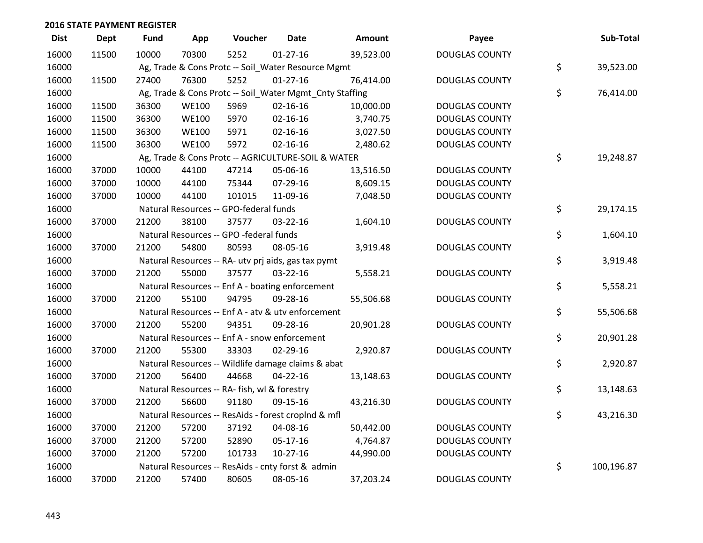| <b>Dist</b> | <b>Dept</b> | <b>Fund</b> | App          | Voucher                                      | <b>Date</b>                                             | Amount    | Payee                 | Sub-Total        |
|-------------|-------------|-------------|--------------|----------------------------------------------|---------------------------------------------------------|-----------|-----------------------|------------------|
| 16000       | 11500       | 10000       | 70300        | 5252                                         | $01 - 27 - 16$                                          | 39,523.00 | <b>DOUGLAS COUNTY</b> |                  |
| 16000       |             |             |              |                                              | Ag, Trade & Cons Protc -- Soil_Water Resource Mgmt      |           |                       | \$<br>39,523.00  |
| 16000       | 11500       | 27400       | 76300        | 5252                                         | $01-27-16$                                              | 76,414.00 | <b>DOUGLAS COUNTY</b> |                  |
| 16000       |             |             |              |                                              | Ag, Trade & Cons Protc -- Soil_Water Mgmt_Cnty Staffing |           |                       | \$<br>76,414.00  |
| 16000       | 11500       | 36300       | <b>WE100</b> | 5969                                         | $02 - 16 - 16$                                          | 10,000.00 | <b>DOUGLAS COUNTY</b> |                  |
| 16000       | 11500       | 36300       | <b>WE100</b> | 5970                                         | $02 - 16 - 16$                                          | 3,740.75  | <b>DOUGLAS COUNTY</b> |                  |
| 16000       | 11500       | 36300       | <b>WE100</b> | 5971                                         | $02 - 16 - 16$                                          | 3,027.50  | <b>DOUGLAS COUNTY</b> |                  |
| 16000       | 11500       | 36300       | <b>WE100</b> | 5972                                         | $02 - 16 - 16$                                          | 2,480.62  | <b>DOUGLAS COUNTY</b> |                  |
| 16000       |             |             |              |                                              | Ag, Trade & Cons Protc -- AGRICULTURE-SOIL & WATER      |           |                       | \$<br>19,248.87  |
| 16000       | 37000       | 10000       | 44100        | 47214                                        | 05-06-16                                                | 13,516.50 | <b>DOUGLAS COUNTY</b> |                  |
| 16000       | 37000       | 10000       | 44100        | 75344                                        | 07-29-16                                                | 8,609.15  | <b>DOUGLAS COUNTY</b> |                  |
| 16000       | 37000       | 10000       | 44100        | 101015                                       | 11-09-16                                                | 7,048.50  | <b>DOUGLAS COUNTY</b> |                  |
| 16000       |             |             |              | Natural Resources -- GPO-federal funds       |                                                         |           |                       | \$<br>29,174.15  |
| 16000       | 37000       | 21200       | 38100        | 37577                                        | 03-22-16                                                | 1,604.10  | <b>DOUGLAS COUNTY</b> |                  |
| 16000       |             |             |              | Natural Resources -- GPO -federal funds      |                                                         |           |                       | \$<br>1,604.10   |
| 16000       | 37000       | 21200       | 54800        | 80593                                        | 08-05-16                                                | 3,919.48  | <b>DOUGLAS COUNTY</b> |                  |
| 16000       |             |             |              |                                              | Natural Resources -- RA- utv prj aids, gas tax pymt     |           |                       | \$<br>3,919.48   |
| 16000       | 37000       | 21200       | 55000        | 37577                                        | $03 - 22 - 16$                                          | 5,558.21  | <b>DOUGLAS COUNTY</b> |                  |
| 16000       |             |             |              |                                              | Natural Resources -- Enf A - boating enforcement        |           |                       | \$<br>5,558.21   |
| 16000       | 37000       | 21200       | 55100        | 94795                                        | 09-28-16                                                | 55,506.68 | <b>DOUGLAS COUNTY</b> |                  |
| 16000       |             |             |              |                                              | Natural Resources -- Enf A - atv & utv enforcement      |           |                       | \$<br>55,506.68  |
| 16000       | 37000       | 21200       | 55200        | 94351                                        | 09-28-16                                                | 20,901.28 | <b>DOUGLAS COUNTY</b> |                  |
| 16000       |             |             |              |                                              | Natural Resources -- Enf A - snow enforcement           |           |                       | \$<br>20,901.28  |
| 16000       | 37000       | 21200       | 55300        | 33303                                        | 02-29-16                                                | 2,920.87  | <b>DOUGLAS COUNTY</b> |                  |
| 16000       |             |             |              |                                              | Natural Resources -- Wildlife damage claims & abat      |           |                       | \$<br>2,920.87   |
| 16000       | 37000       | 21200       | 56400        | 44668                                        | $04 - 22 - 16$                                          | 13,148.63 | <b>DOUGLAS COUNTY</b> |                  |
| 16000       |             |             |              | Natural Resources -- RA- fish, wl & forestry |                                                         |           |                       | \$<br>13,148.63  |
| 16000       | 37000       | 21200       | 56600        | 91180                                        | 09-15-16                                                | 43,216.30 | <b>DOUGLAS COUNTY</b> |                  |
| 16000       |             |             |              |                                              | Natural Resources -- ResAids - forest croplnd & mfl     |           |                       | \$<br>43,216.30  |
| 16000       | 37000       | 21200       | 57200        | 37192                                        | 04-08-16                                                | 50,442.00 | <b>DOUGLAS COUNTY</b> |                  |
| 16000       | 37000       | 21200       | 57200        | 52890                                        | 05-17-16                                                | 4,764.87  | <b>DOUGLAS COUNTY</b> |                  |
| 16000       | 37000       | 21200       | 57200        | 101733                                       | $10-27-16$                                              | 44,990.00 | <b>DOUGLAS COUNTY</b> |                  |
| 16000       |             |             |              |                                              | Natural Resources -- ResAids - cnty forst & admin       |           |                       | \$<br>100,196.87 |
| 16000       | 37000       | 21200       | 57400        | 80605                                        | 08-05-16                                                | 37,203.24 | <b>DOUGLAS COUNTY</b> |                  |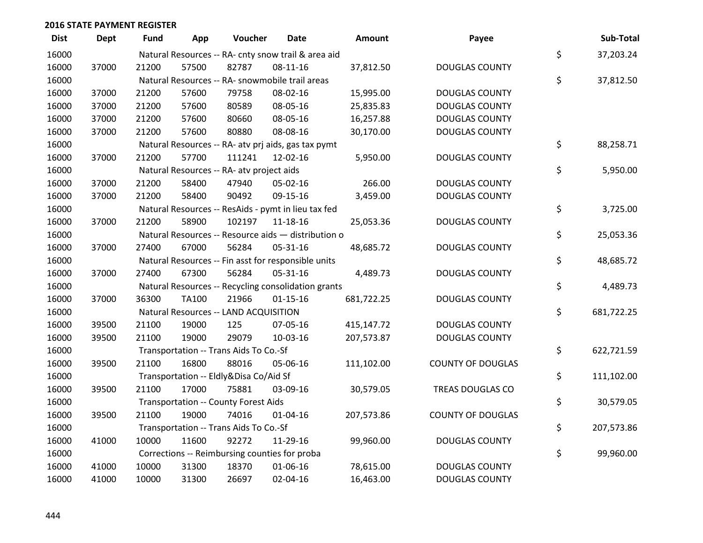| <b>Dist</b> | Dept  | Fund  | App          | Voucher                                             | <b>Date</b>    | <b>Amount</b> | Payee                    | Sub-Total        |
|-------------|-------|-------|--------------|-----------------------------------------------------|----------------|---------------|--------------------------|------------------|
| 16000       |       |       |              | Natural Resources -- RA- cnty snow trail & area aid |                |               |                          | \$<br>37,203.24  |
| 16000       | 37000 | 21200 | 57500        | 82787                                               | 08-11-16       | 37,812.50     | <b>DOUGLAS COUNTY</b>    |                  |
| 16000       |       |       |              | Natural Resources -- RA- snowmobile trail areas     |                |               |                          | \$<br>37,812.50  |
| 16000       | 37000 | 21200 | 57600        | 79758                                               | 08-02-16       | 15,995.00     | <b>DOUGLAS COUNTY</b>    |                  |
| 16000       | 37000 | 21200 | 57600        | 80589                                               | 08-05-16       | 25,835.83     | <b>DOUGLAS COUNTY</b>    |                  |
| 16000       | 37000 | 21200 | 57600        | 80660                                               | 08-05-16       | 16,257.88     | <b>DOUGLAS COUNTY</b>    |                  |
| 16000       | 37000 | 21200 | 57600        | 80880                                               | 08-08-16       | 30,170.00     | <b>DOUGLAS COUNTY</b>    |                  |
| 16000       |       |       |              | Natural Resources -- RA- atv prj aids, gas tax pymt |                |               |                          | \$<br>88,258.71  |
| 16000       | 37000 | 21200 | 57700        | 111241                                              | 12-02-16       | 5,950.00      | <b>DOUGLAS COUNTY</b>    |                  |
| 16000       |       |       |              | Natural Resources -- RA- atv project aids           |                |               |                          | \$<br>5,950.00   |
| 16000       | 37000 | 21200 | 58400        | 47940                                               | 05-02-16       | 266.00        | <b>DOUGLAS COUNTY</b>    |                  |
| 16000       | 37000 | 21200 | 58400        | 90492                                               | 09-15-16       | 3,459.00      | <b>DOUGLAS COUNTY</b>    |                  |
| 16000       |       |       |              | Natural Resources -- ResAids - pymt in lieu tax fed |                |               |                          | \$<br>3,725.00   |
| 16000       | 37000 | 21200 | 58900        | 102197                                              | 11-18-16       | 25,053.36     | <b>DOUGLAS COUNTY</b>    |                  |
| 16000       |       |       |              | Natural Resources -- Resource aids - distribution o |                |               |                          | \$<br>25,053.36  |
| 16000       | 37000 | 27400 | 67000        | 56284                                               | 05-31-16       | 48,685.72     | <b>DOUGLAS COUNTY</b>    |                  |
| 16000       |       |       |              | Natural Resources -- Fin asst for responsible units |                |               |                          | \$<br>48,685.72  |
| 16000       | 37000 | 27400 | 67300        | 56284                                               | 05-31-16       | 4,489.73      | <b>DOUGLAS COUNTY</b>    |                  |
| 16000       |       |       |              | Natural Resources -- Recycling consolidation grants |                |               |                          | \$<br>4,489.73   |
| 16000       | 37000 | 36300 | <b>TA100</b> | 21966                                               | $01 - 15 - 16$ | 681,722.25    | <b>DOUGLAS COUNTY</b>    |                  |
| 16000       |       |       |              | Natural Resources -- LAND ACQUISITION               |                |               |                          | \$<br>681,722.25 |
| 16000       | 39500 | 21100 | 19000        | 125                                                 | 07-05-16       | 415,147.72    | <b>DOUGLAS COUNTY</b>    |                  |
| 16000       | 39500 | 21100 | 19000        | 29079                                               | 10-03-16       | 207,573.87    | <b>DOUGLAS COUNTY</b>    |                  |
| 16000       |       |       |              | Transportation -- Trans Aids To Co.-Sf              |                |               |                          | \$<br>622,721.59 |
| 16000       | 39500 | 21100 | 16800        | 88016                                               | 05-06-16       | 111,102.00    | <b>COUNTY OF DOUGLAS</b> |                  |
| 16000       |       |       |              | Transportation -- Eldly&Disa Co/Aid Sf              |                |               |                          | \$<br>111,102.00 |
| 16000       | 39500 | 21100 | 17000        | 75881                                               | 03-09-16       | 30,579.05     | TREAS DOUGLAS CO         |                  |
| 16000       |       |       |              | <b>Transportation -- County Forest Aids</b>         |                |               |                          | \$<br>30,579.05  |
| 16000       | 39500 | 21100 | 19000        | 74016                                               | $01 - 04 - 16$ | 207,573.86    | <b>COUNTY OF DOUGLAS</b> |                  |
| 16000       |       |       |              | Transportation -- Trans Aids To Co.-Sf              |                |               |                          | \$<br>207,573.86 |
| 16000       | 41000 | 10000 | 11600        | 92272                                               | 11-29-16       | 99,960.00     | <b>DOUGLAS COUNTY</b>    |                  |
| 16000       |       |       |              | Corrections -- Reimbursing counties for proba       |                |               |                          | \$<br>99,960.00  |
| 16000       | 41000 | 10000 | 31300        | 18370                                               | 01-06-16       | 78,615.00     | <b>DOUGLAS COUNTY</b>    |                  |
| 16000       | 41000 | 10000 | 31300        | 26697                                               | 02-04-16       | 16,463.00     | <b>DOUGLAS COUNTY</b>    |                  |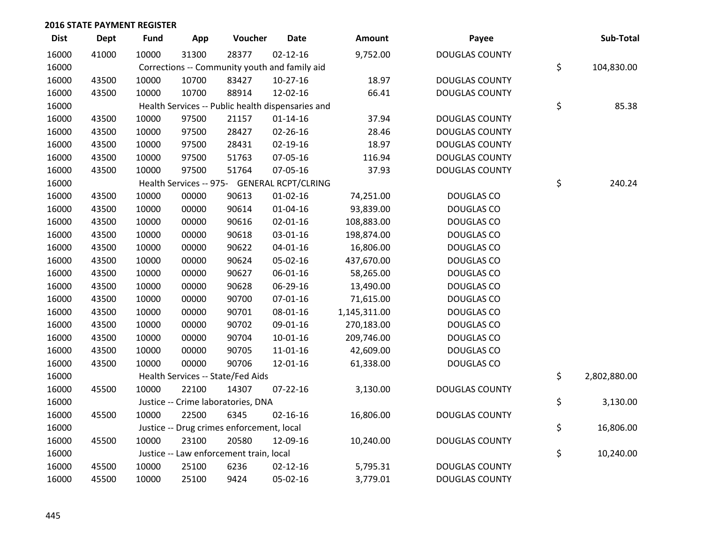| <b>Dist</b> | <b>Dept</b> | <b>Fund</b> | App   | Voucher                                           | <b>Date</b>    | Amount       | Payee                 | Sub-Total          |
|-------------|-------------|-------------|-------|---------------------------------------------------|----------------|--------------|-----------------------|--------------------|
| 16000       | 41000       | 10000       | 31300 | 28377                                             | $02 - 12 - 16$ | 9,752.00     | <b>DOUGLAS COUNTY</b> |                    |
| 16000       |             |             |       | Corrections -- Community youth and family aid     |                |              |                       | \$<br>104,830.00   |
| 16000       | 43500       | 10000       | 10700 | 83427                                             | 10-27-16       | 18.97        | <b>DOUGLAS COUNTY</b> |                    |
| 16000       | 43500       | 10000       | 10700 | 88914                                             | 12-02-16       | 66.41        | <b>DOUGLAS COUNTY</b> |                    |
| 16000       |             |             |       | Health Services -- Public health dispensaries and |                |              |                       | \$<br>85.38        |
| 16000       | 43500       | 10000       | 97500 | 21157                                             | $01 - 14 - 16$ | 37.94        | <b>DOUGLAS COUNTY</b> |                    |
| 16000       | 43500       | 10000       | 97500 | 28427                                             | 02-26-16       | 28.46        | <b>DOUGLAS COUNTY</b> |                    |
| 16000       | 43500       | 10000       | 97500 | 28431                                             | $02 - 19 - 16$ | 18.97        | <b>DOUGLAS COUNTY</b> |                    |
| 16000       | 43500       | 10000       | 97500 | 51763                                             | 07-05-16       | 116.94       | <b>DOUGLAS COUNTY</b> |                    |
| 16000       | 43500       | 10000       | 97500 | 51764                                             | 07-05-16       | 37.93        | <b>DOUGLAS COUNTY</b> |                    |
| 16000       |             |             |       | Health Services -- 975- GENERAL RCPT/CLRING       |                |              |                       | \$<br>240.24       |
| 16000       | 43500       | 10000       | 00000 | 90613                                             | $01 - 02 - 16$ | 74,251.00    | <b>DOUGLAS CO</b>     |                    |
| 16000       | 43500       | 10000       | 00000 | 90614                                             | $01 - 04 - 16$ | 93,839.00    | <b>DOUGLAS CO</b>     |                    |
| 16000       | 43500       | 10000       | 00000 | 90616                                             | $02 - 01 - 16$ | 108,883.00   | <b>DOUGLAS CO</b>     |                    |
| 16000       | 43500       | 10000       | 00000 | 90618                                             | 03-01-16       | 198,874.00   | <b>DOUGLAS CO</b>     |                    |
| 16000       | 43500       | 10000       | 00000 | 90622                                             | 04-01-16       | 16,806.00    | <b>DOUGLAS CO</b>     |                    |
| 16000       | 43500       | 10000       | 00000 | 90624                                             | 05-02-16       | 437,670.00   | <b>DOUGLAS CO</b>     |                    |
| 16000       | 43500       | 10000       | 00000 | 90627                                             | 06-01-16       | 58,265.00    | DOUGLAS CO            |                    |
| 16000       | 43500       | 10000       | 00000 | 90628                                             | 06-29-16       | 13,490.00    | DOUGLAS CO            |                    |
| 16000       | 43500       | 10000       | 00000 | 90700                                             | $07 - 01 - 16$ | 71,615.00    | <b>DOUGLAS CO</b>     |                    |
| 16000       | 43500       | 10000       | 00000 | 90701                                             | 08-01-16       | 1,145,311.00 | <b>DOUGLAS CO</b>     |                    |
| 16000       | 43500       | 10000       | 00000 | 90702                                             | 09-01-16       | 270,183.00   | <b>DOUGLAS CO</b>     |                    |
| 16000       | 43500       | 10000       | 00000 | 90704                                             | 10-01-16       | 209,746.00   | <b>DOUGLAS CO</b>     |                    |
| 16000       | 43500       | 10000       | 00000 | 90705                                             | 11-01-16       | 42,609.00    | <b>DOUGLAS CO</b>     |                    |
| 16000       | 43500       | 10000       | 00000 | 90706                                             | 12-01-16       | 61,338.00    | DOUGLAS CO            |                    |
| 16000       |             |             |       | Health Services -- State/Fed Aids                 |                |              |                       | \$<br>2,802,880.00 |
| 16000       | 45500       | 10000       | 22100 | 14307                                             | $07 - 22 - 16$ | 3,130.00     | <b>DOUGLAS COUNTY</b> |                    |
| 16000       |             |             |       | Justice -- Crime laboratories, DNA                |                |              |                       | \$<br>3,130.00     |
| 16000       | 45500       | 10000       | 22500 | 6345                                              | $02 - 16 - 16$ | 16,806.00    | <b>DOUGLAS COUNTY</b> |                    |
| 16000       |             |             |       | Justice -- Drug crimes enforcement, local         |                |              |                       | \$<br>16,806.00    |
| 16000       | 45500       | 10000       | 23100 | 20580                                             | 12-09-16       | 10,240.00    | <b>DOUGLAS COUNTY</b> |                    |
| 16000       |             |             |       | Justice -- Law enforcement train, local           |                |              |                       | \$<br>10,240.00    |
| 16000       | 45500       | 10000       | 25100 | 6236                                              | $02 - 12 - 16$ | 5,795.31     | <b>DOUGLAS COUNTY</b> |                    |
| 16000       | 45500       | 10000       | 25100 | 9424                                              | 05-02-16       | 3,779.01     | <b>DOUGLAS COUNTY</b> |                    |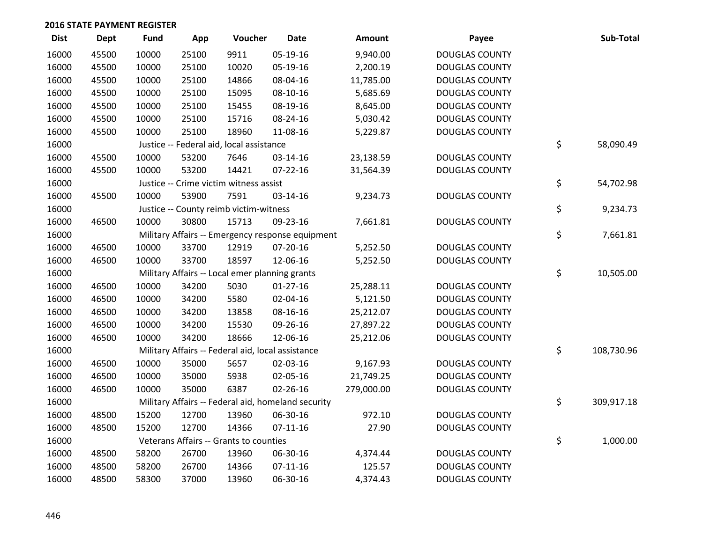| <b>Dist</b> | Dept  | <b>Fund</b> | App   | Voucher                                           | <b>Date</b>                                        | Amount     | Payee                 | Sub-Total        |
|-------------|-------|-------------|-------|---------------------------------------------------|----------------------------------------------------|------------|-----------------------|------------------|
| 16000       | 45500 | 10000       | 25100 | 9911                                              | 05-19-16                                           | 9,940.00   | <b>DOUGLAS COUNTY</b> |                  |
| 16000       | 45500 | 10000       | 25100 | 10020                                             | 05-19-16                                           | 2,200.19   | <b>DOUGLAS COUNTY</b> |                  |
| 16000       | 45500 | 10000       | 25100 | 14866                                             | 08-04-16                                           | 11,785.00  | <b>DOUGLAS COUNTY</b> |                  |
| 16000       | 45500 | 10000       | 25100 | 15095                                             | 08-10-16                                           | 5,685.69   | <b>DOUGLAS COUNTY</b> |                  |
| 16000       | 45500 | 10000       | 25100 | 15455                                             | 08-19-16                                           | 8,645.00   | <b>DOUGLAS COUNTY</b> |                  |
| 16000       | 45500 | 10000       | 25100 | 15716                                             | 08-24-16                                           | 5,030.42   | <b>DOUGLAS COUNTY</b> |                  |
| 16000       | 45500 | 10000       | 25100 | 18960                                             | 11-08-16                                           | 5,229.87   | <b>DOUGLAS COUNTY</b> |                  |
| 16000       |       |             |       | Justice -- Federal aid, local assistance          |                                                    |            |                       | \$<br>58,090.49  |
| 16000       | 45500 | 10000       | 53200 | 7646                                              | 03-14-16                                           | 23,138.59  | <b>DOUGLAS COUNTY</b> |                  |
| 16000       | 45500 | 10000       | 53200 | 14421                                             | $07 - 22 - 16$                                     | 31,564.39  | <b>DOUGLAS COUNTY</b> |                  |
| 16000       |       |             |       | Justice -- Crime victim witness assist            |                                                    |            |                       | \$<br>54,702.98  |
| 16000       | 45500 | 10000       | 53900 | 7591                                              | 03-14-16                                           | 9,234.73   | <b>DOUGLAS COUNTY</b> |                  |
| 16000       |       |             |       | Justice -- County reimb victim-witness            |                                                    |            |                       | \$<br>9,234.73   |
| 16000       | 46500 | 10000       | 30800 | 15713                                             | 09-23-16                                           | 7,661.81   | <b>DOUGLAS COUNTY</b> |                  |
| 16000       |       |             |       |                                                   | Military Affairs -- Emergency response equipment   |            |                       | \$<br>7,661.81   |
| 16000       | 46500 | 10000       | 33700 | 12919                                             | 07-20-16                                           | 5,252.50   | <b>DOUGLAS COUNTY</b> |                  |
| 16000       | 46500 | 10000       | 33700 | 18597                                             | 12-06-16                                           | 5,252.50   | <b>DOUGLAS COUNTY</b> |                  |
| 16000       |       |             |       | Military Affairs -- Local emer planning grants    |                                                    |            |                       | \$<br>10,505.00  |
| 16000       | 46500 | 10000       | 34200 | 5030                                              | $01 - 27 - 16$                                     | 25,288.11  | <b>DOUGLAS COUNTY</b> |                  |
| 16000       | 46500 | 10000       | 34200 | 5580                                              | 02-04-16                                           | 5,121.50   | <b>DOUGLAS COUNTY</b> |                  |
| 16000       | 46500 | 10000       | 34200 | 13858                                             | 08-16-16                                           | 25,212.07  | <b>DOUGLAS COUNTY</b> |                  |
| 16000       | 46500 | 10000       | 34200 | 15530                                             | 09-26-16                                           | 27,897.22  | <b>DOUGLAS COUNTY</b> |                  |
| 16000       | 46500 | 10000       | 34200 | 18666                                             | 12-06-16                                           | 25,212.06  | <b>DOUGLAS COUNTY</b> |                  |
| 16000       |       |             |       | Military Affairs -- Federal aid, local assistance |                                                    |            |                       | \$<br>108,730.96 |
| 16000       | 46500 | 10000       | 35000 | 5657                                              | 02-03-16                                           | 9,167.93   | <b>DOUGLAS COUNTY</b> |                  |
| 16000       | 46500 | 10000       | 35000 | 5938                                              | 02-05-16                                           | 21,749.25  | <b>DOUGLAS COUNTY</b> |                  |
| 16000       | 46500 | 10000       | 35000 | 6387                                              | 02-26-16                                           | 279,000.00 | <b>DOUGLAS COUNTY</b> |                  |
| 16000       |       |             |       |                                                   | Military Affairs -- Federal aid, homeland security |            |                       | \$<br>309,917.18 |
| 16000       | 48500 | 15200       | 12700 | 13960                                             | 06-30-16                                           | 972.10     | <b>DOUGLAS COUNTY</b> |                  |
| 16000       | 48500 | 15200       | 12700 | 14366                                             | $07-11-16$                                         | 27.90      | <b>DOUGLAS COUNTY</b> |                  |
| 16000       |       |             |       | Veterans Affairs -- Grants to counties            |                                                    |            |                       | \$<br>1,000.00   |
| 16000       | 48500 | 58200       | 26700 | 13960                                             | 06-30-16                                           | 4,374.44   | <b>DOUGLAS COUNTY</b> |                  |
| 16000       | 48500 | 58200       | 26700 | 14366                                             | $07-11-16$                                         | 125.57     | <b>DOUGLAS COUNTY</b> |                  |
| 16000       | 48500 | 58300       | 37000 | 13960                                             | 06-30-16                                           | 4,374.43   | <b>DOUGLAS COUNTY</b> |                  |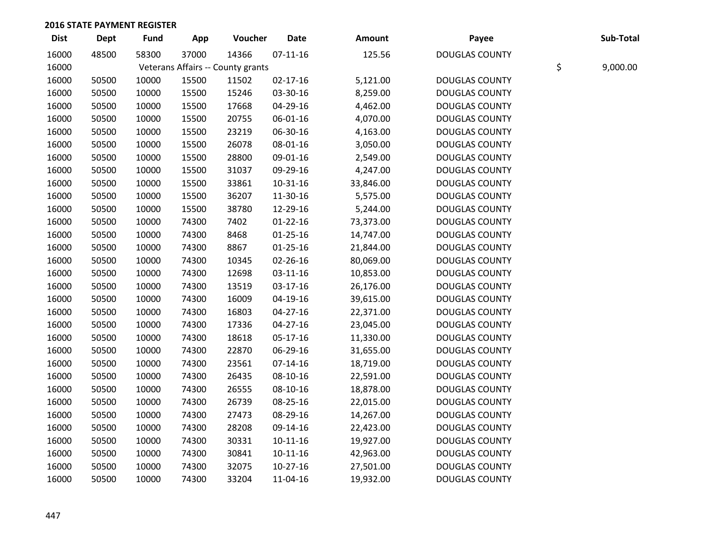| <b>Dist</b> | <b>Dept</b> | <b>Fund</b> | App   | Voucher                           | <b>Date</b>    | Amount    | Payee                 | Sub-Total      |
|-------------|-------------|-------------|-------|-----------------------------------|----------------|-----------|-----------------------|----------------|
| 16000       | 48500       | 58300       | 37000 | 14366                             | $07-11-16$     | 125.56    | <b>DOUGLAS COUNTY</b> |                |
| 16000       |             |             |       | Veterans Affairs -- County grants |                |           |                       | \$<br>9,000.00 |
| 16000       | 50500       | 10000       | 15500 | 11502                             | $02 - 17 - 16$ | 5,121.00  | <b>DOUGLAS COUNTY</b> |                |
| 16000       | 50500       | 10000       | 15500 | 15246                             | 03-30-16       | 8,259.00  | <b>DOUGLAS COUNTY</b> |                |
| 16000       | 50500       | 10000       | 15500 | 17668                             | 04-29-16       | 4,462.00  | <b>DOUGLAS COUNTY</b> |                |
| 16000       | 50500       | 10000       | 15500 | 20755                             | 06-01-16       | 4,070.00  | <b>DOUGLAS COUNTY</b> |                |
| 16000       | 50500       | 10000       | 15500 | 23219                             | 06-30-16       | 4,163.00  | <b>DOUGLAS COUNTY</b> |                |
| 16000       | 50500       | 10000       | 15500 | 26078                             | 08-01-16       | 3,050.00  | <b>DOUGLAS COUNTY</b> |                |
| 16000       | 50500       | 10000       | 15500 | 28800                             | 09-01-16       | 2,549.00  | <b>DOUGLAS COUNTY</b> |                |
| 16000       | 50500       | 10000       | 15500 | 31037                             | 09-29-16       | 4,247.00  | <b>DOUGLAS COUNTY</b> |                |
| 16000       | 50500       | 10000       | 15500 | 33861                             | $10-31-16$     | 33,846.00 | <b>DOUGLAS COUNTY</b> |                |
| 16000       | 50500       | 10000       | 15500 | 36207                             | 11-30-16       | 5,575.00  | <b>DOUGLAS COUNTY</b> |                |
| 16000       | 50500       | 10000       | 15500 | 38780                             | 12-29-16       | 5,244.00  | <b>DOUGLAS COUNTY</b> |                |
| 16000       | 50500       | 10000       | 74300 | 7402                              | $01 - 22 - 16$ | 73,373.00 | <b>DOUGLAS COUNTY</b> |                |
| 16000       | 50500       | 10000       | 74300 | 8468                              | $01 - 25 - 16$ | 14,747.00 | <b>DOUGLAS COUNTY</b> |                |
| 16000       | 50500       | 10000       | 74300 | 8867                              | $01 - 25 - 16$ | 21,844.00 | <b>DOUGLAS COUNTY</b> |                |
| 16000       | 50500       | 10000       | 74300 | 10345                             | 02-26-16       | 80,069.00 | <b>DOUGLAS COUNTY</b> |                |
| 16000       | 50500       | 10000       | 74300 | 12698                             | $03-11-16$     | 10,853.00 | <b>DOUGLAS COUNTY</b> |                |
| 16000       | 50500       | 10000       | 74300 | 13519                             | 03-17-16       | 26,176.00 | <b>DOUGLAS COUNTY</b> |                |
| 16000       | 50500       | 10000       | 74300 | 16009                             | 04-19-16       | 39,615.00 | <b>DOUGLAS COUNTY</b> |                |
| 16000       | 50500       | 10000       | 74300 | 16803                             | $04 - 27 - 16$ | 22,371.00 | <b>DOUGLAS COUNTY</b> |                |
| 16000       | 50500       | 10000       | 74300 | 17336                             | $04 - 27 - 16$ | 23,045.00 | <b>DOUGLAS COUNTY</b> |                |
| 16000       | 50500       | 10000       | 74300 | 18618                             | 05-17-16       | 11,330.00 | <b>DOUGLAS COUNTY</b> |                |
| 16000       | 50500       | 10000       | 74300 | 22870                             | 06-29-16       | 31,655.00 | <b>DOUGLAS COUNTY</b> |                |
| 16000       | 50500       | 10000       | 74300 | 23561                             | $07 - 14 - 16$ | 18,719.00 | <b>DOUGLAS COUNTY</b> |                |
| 16000       | 50500       | 10000       | 74300 | 26435                             | 08-10-16       | 22,591.00 | <b>DOUGLAS COUNTY</b> |                |
| 16000       | 50500       | 10000       | 74300 | 26555                             | 08-10-16       | 18,878.00 | <b>DOUGLAS COUNTY</b> |                |
| 16000       | 50500       | 10000       | 74300 | 26739                             | 08-25-16       | 22,015.00 | <b>DOUGLAS COUNTY</b> |                |
| 16000       | 50500       | 10000       | 74300 | 27473                             | 08-29-16       | 14,267.00 | <b>DOUGLAS COUNTY</b> |                |
| 16000       | 50500       | 10000       | 74300 | 28208                             | 09-14-16       | 22,423.00 | <b>DOUGLAS COUNTY</b> |                |
| 16000       | 50500       | 10000       | 74300 | 30331                             | $10-11-16$     | 19,927.00 | <b>DOUGLAS COUNTY</b> |                |
| 16000       | 50500       | 10000       | 74300 | 30841                             | $10-11-16$     | 42,963.00 | <b>DOUGLAS COUNTY</b> |                |
| 16000       | 50500       | 10000       | 74300 | 32075                             | $10-27-16$     | 27,501.00 | <b>DOUGLAS COUNTY</b> |                |
| 16000       | 50500       | 10000       | 74300 | 33204                             | 11-04-16       | 19,932.00 | <b>DOUGLAS COUNTY</b> |                |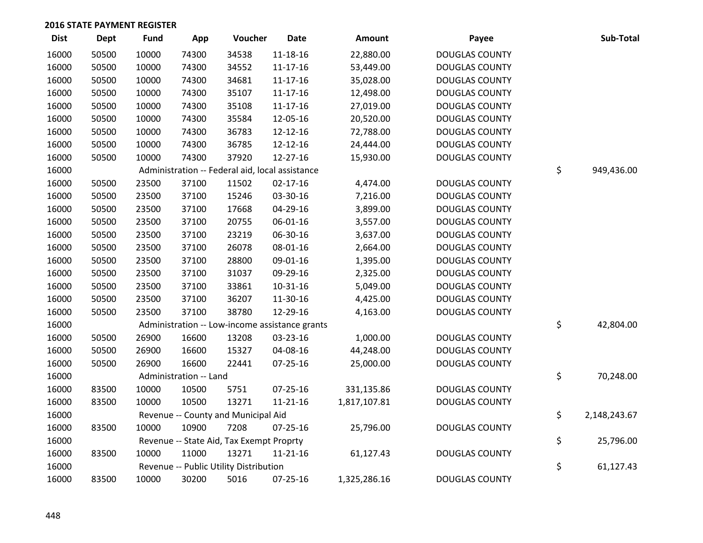| <b>Dist</b> | <b>Dept</b> | <b>Fund</b> | App                    | Voucher                                         | <b>Date</b>    | <b>Amount</b> | Payee                 | Sub-Total          |
|-------------|-------------|-------------|------------------------|-------------------------------------------------|----------------|---------------|-----------------------|--------------------|
| 16000       | 50500       | 10000       | 74300                  | 34538                                           | 11-18-16       | 22,880.00     | <b>DOUGLAS COUNTY</b> |                    |
| 16000       | 50500       | 10000       | 74300                  | 34552                                           | $11 - 17 - 16$ | 53,449.00     | <b>DOUGLAS COUNTY</b> |                    |
| 16000       | 50500       | 10000       | 74300                  | 34681                                           | $11 - 17 - 16$ | 35,028.00     | <b>DOUGLAS COUNTY</b> |                    |
| 16000       | 50500       | 10000       | 74300                  | 35107                                           | $11 - 17 - 16$ | 12,498.00     | <b>DOUGLAS COUNTY</b> |                    |
| 16000       | 50500       | 10000       | 74300                  | 35108                                           | $11 - 17 - 16$ | 27,019.00     | <b>DOUGLAS COUNTY</b> |                    |
| 16000       | 50500       | 10000       | 74300                  | 35584                                           | 12-05-16       | 20,520.00     | <b>DOUGLAS COUNTY</b> |                    |
| 16000       | 50500       | 10000       | 74300                  | 36783                                           | 12-12-16       | 72,788.00     | <b>DOUGLAS COUNTY</b> |                    |
| 16000       | 50500       | 10000       | 74300                  | 36785                                           | 12-12-16       | 24,444.00     | <b>DOUGLAS COUNTY</b> |                    |
| 16000       | 50500       | 10000       | 74300                  | 37920                                           | 12-27-16       | 15,930.00     | <b>DOUGLAS COUNTY</b> |                    |
| 16000       |             |             |                        | Administration -- Federal aid, local assistance |                |               |                       | \$<br>949,436.00   |
| 16000       | 50500       | 23500       | 37100                  | 11502                                           | $02 - 17 - 16$ | 4,474.00      | <b>DOUGLAS COUNTY</b> |                    |
| 16000       | 50500       | 23500       | 37100                  | 15246                                           | 03-30-16       | 7,216.00      | <b>DOUGLAS COUNTY</b> |                    |
| 16000       | 50500       | 23500       | 37100                  | 17668                                           | 04-29-16       | 3,899.00      | <b>DOUGLAS COUNTY</b> |                    |
| 16000       | 50500       | 23500       | 37100                  | 20755                                           | 06-01-16       | 3,557.00      | <b>DOUGLAS COUNTY</b> |                    |
| 16000       | 50500       | 23500       | 37100                  | 23219                                           | 06-30-16       | 3,637.00      | <b>DOUGLAS COUNTY</b> |                    |
| 16000       | 50500       | 23500       | 37100                  | 26078                                           | 08-01-16       | 2,664.00      | <b>DOUGLAS COUNTY</b> |                    |
| 16000       | 50500       | 23500       | 37100                  | 28800                                           | 09-01-16       | 1,395.00      | <b>DOUGLAS COUNTY</b> |                    |
| 16000       | 50500       | 23500       | 37100                  | 31037                                           | 09-29-16       | 2,325.00      | <b>DOUGLAS COUNTY</b> |                    |
| 16000       | 50500       | 23500       | 37100                  | 33861                                           | 10-31-16       | 5,049.00      | <b>DOUGLAS COUNTY</b> |                    |
| 16000       | 50500       | 23500       | 37100                  | 36207                                           | 11-30-16       | 4,425.00      | <b>DOUGLAS COUNTY</b> |                    |
| 16000       | 50500       | 23500       | 37100                  | 38780                                           | 12-29-16       | 4,163.00      | <b>DOUGLAS COUNTY</b> |                    |
| 16000       |             |             |                        | Administration -- Low-income assistance grants  |                |               |                       | \$<br>42,804.00    |
| 16000       | 50500       | 26900       | 16600                  | 13208                                           | 03-23-16       | 1,000.00      | <b>DOUGLAS COUNTY</b> |                    |
| 16000       | 50500       | 26900       | 16600                  | 15327                                           | 04-08-16       | 44,248.00     | <b>DOUGLAS COUNTY</b> |                    |
| 16000       | 50500       | 26900       | 16600                  | 22441                                           | $07 - 25 - 16$ | 25,000.00     | <b>DOUGLAS COUNTY</b> |                    |
| 16000       |             |             | Administration -- Land |                                                 |                |               |                       | \$<br>70,248.00    |
| 16000       | 83500       | 10000       | 10500                  | 5751                                            | $07 - 25 - 16$ | 331,135.86    | <b>DOUGLAS COUNTY</b> |                    |
| 16000       | 83500       | 10000       | 10500                  | 13271                                           | $11 - 21 - 16$ | 1,817,107.81  | <b>DOUGLAS COUNTY</b> |                    |
| 16000       |             |             |                        | Revenue -- County and Municipal Aid             |                |               |                       | \$<br>2,148,243.67 |
| 16000       | 83500       | 10000       | 10900                  | 7208                                            | 07-25-16       | 25,796.00     | <b>DOUGLAS COUNTY</b> |                    |
| 16000       |             |             |                        | Revenue -- State Aid, Tax Exempt Proprty        |                |               |                       | \$<br>25,796.00    |
| 16000       | 83500       | 10000       | 11000                  | 13271                                           | $11 - 21 - 16$ | 61,127.43     | <b>DOUGLAS COUNTY</b> |                    |
| 16000       |             |             |                        | Revenue -- Public Utility Distribution          |                |               |                       | \$<br>61,127.43    |
| 16000       | 83500       | 10000       | 30200                  | 5016                                            | $07 - 25 - 16$ | 1,325,286.16  | <b>DOUGLAS COUNTY</b> |                    |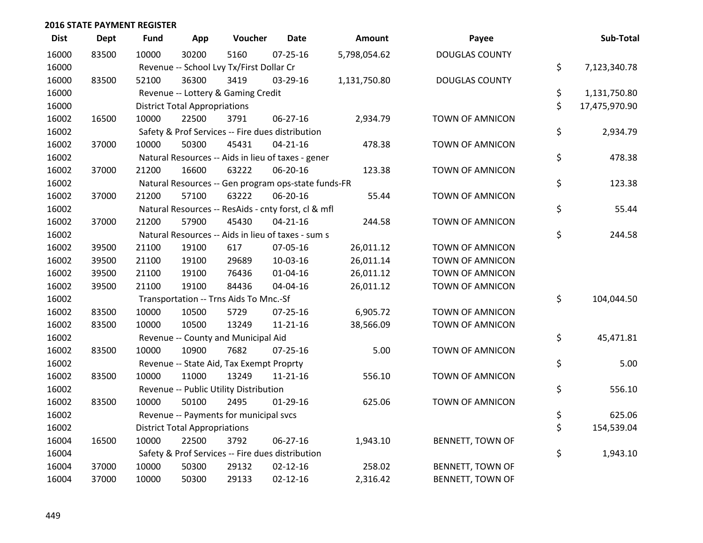| <b>Dist</b> | Dept  | <b>Fund</b> | App                                  | Voucher                                             | <b>Date</b>    | Amount       | Payee                   | Sub-Total           |
|-------------|-------|-------------|--------------------------------------|-----------------------------------------------------|----------------|--------------|-------------------------|---------------------|
| 16000       | 83500 | 10000       | 30200                                | 5160                                                | $07 - 25 - 16$ | 5,798,054.62 | <b>DOUGLAS COUNTY</b>   |                     |
| 16000       |       |             |                                      | Revenue -- School Lvy Tx/First Dollar Cr            |                |              |                         | \$<br>7,123,340.78  |
| 16000       | 83500 | 52100       | 36300                                | 3419                                                | 03-29-16       | 1,131,750.80 | <b>DOUGLAS COUNTY</b>   |                     |
| 16000       |       |             |                                      | Revenue -- Lottery & Gaming Credit                  |                |              |                         | \$<br>1,131,750.80  |
| 16000       |       |             | <b>District Total Appropriations</b> |                                                     |                |              |                         | \$<br>17,475,970.90 |
| 16002       | 16500 | 10000       | 22500                                | 3791                                                | 06-27-16       | 2,934.79     | <b>TOWN OF AMNICON</b>  |                     |
| 16002       |       |             |                                      | Safety & Prof Services -- Fire dues distribution    |                |              |                         | \$<br>2,934.79      |
| 16002       | 37000 | 10000       | 50300                                | 45431                                               | $04 - 21 - 16$ | 478.38       | TOWN OF AMNICON         |                     |
| 16002       |       |             |                                      | Natural Resources -- Aids in lieu of taxes - gener  |                |              |                         | \$<br>478.38        |
| 16002       | 37000 | 21200       | 16600                                | 63222                                               | 06-20-16       | 123.38       | <b>TOWN OF AMNICON</b>  |                     |
| 16002       |       |             |                                      | Natural Resources -- Gen program ops-state funds-FR |                |              |                         | \$<br>123.38        |
| 16002       | 37000 | 21200       | 57100                                | 63222                                               | 06-20-16       | 55.44        | <b>TOWN OF AMNICON</b>  |                     |
| 16002       |       |             |                                      | Natural Resources -- ResAids - cnty forst, cl & mfl |                |              |                         | \$<br>55.44         |
| 16002       | 37000 | 21200       | 57900                                | 45430                                               | $04 - 21 - 16$ | 244.58       | <b>TOWN OF AMNICON</b>  |                     |
| 16002       |       |             |                                      | Natural Resources -- Aids in lieu of taxes - sum s  |                |              |                         | \$<br>244.58        |
| 16002       | 39500 | 21100       | 19100                                | 617                                                 | 07-05-16       | 26,011.12    | TOWN OF AMNICON         |                     |
| 16002       | 39500 | 21100       | 19100                                | 29689                                               | 10-03-16       | 26,011.14    | <b>TOWN OF AMNICON</b>  |                     |
| 16002       | 39500 | 21100       | 19100                                | 76436                                               | $01 - 04 - 16$ | 26,011.12    | TOWN OF AMNICON         |                     |
| 16002       | 39500 | 21100       | 19100                                | 84436                                               | 04-04-16       | 26,011.12    | <b>TOWN OF AMNICON</b>  |                     |
| 16002       |       |             |                                      | Transportation -- Trns Aids To Mnc.-Sf              |                |              |                         | \$<br>104,044.50    |
| 16002       | 83500 | 10000       | 10500                                | 5729                                                | $07 - 25 - 16$ | 6,905.72     | <b>TOWN OF AMNICON</b>  |                     |
| 16002       | 83500 | 10000       | 10500                                | 13249                                               | $11 - 21 - 16$ | 38,566.09    | <b>TOWN OF AMNICON</b>  |                     |
| 16002       |       |             |                                      | Revenue -- County and Municipal Aid                 |                |              |                         | \$<br>45,471.81     |
| 16002       | 83500 | 10000       | 10900                                | 7682                                                | $07 - 25 - 16$ | 5.00         | <b>TOWN OF AMNICON</b>  |                     |
| 16002       |       |             |                                      | Revenue -- State Aid, Tax Exempt Proprty            |                |              |                         | \$<br>5.00          |
| 16002       | 83500 | 10000       | 11000                                | 13249                                               | $11 - 21 - 16$ | 556.10       | <b>TOWN OF AMNICON</b>  |                     |
| 16002       |       |             |                                      | Revenue -- Public Utility Distribution              |                |              |                         | \$<br>556.10        |
| 16002       | 83500 | 10000       | 50100                                | 2495                                                | $01-29-16$     | 625.06       | <b>TOWN OF AMNICON</b>  |                     |
| 16002       |       |             |                                      | Revenue -- Payments for municipal svcs              |                |              |                         | \$<br>625.06        |
| 16002       |       |             | <b>District Total Appropriations</b> |                                                     |                |              |                         | \$<br>154,539.04    |
| 16004       | 16500 | 10000       | 22500                                | 3792                                                | 06-27-16       | 1,943.10     | BENNETT, TOWN OF        |                     |
| 16004       |       |             |                                      | Safety & Prof Services -- Fire dues distribution    |                |              |                         | \$<br>1,943.10      |
| 16004       | 37000 | 10000       | 50300                                | 29132                                               | $02 - 12 - 16$ | 258.02       | BENNETT, TOWN OF        |                     |
| 16004       | 37000 | 10000       | 50300                                | 29133                                               | $02 - 12 - 16$ | 2,316.42     | <b>BENNETT, TOWN OF</b> |                     |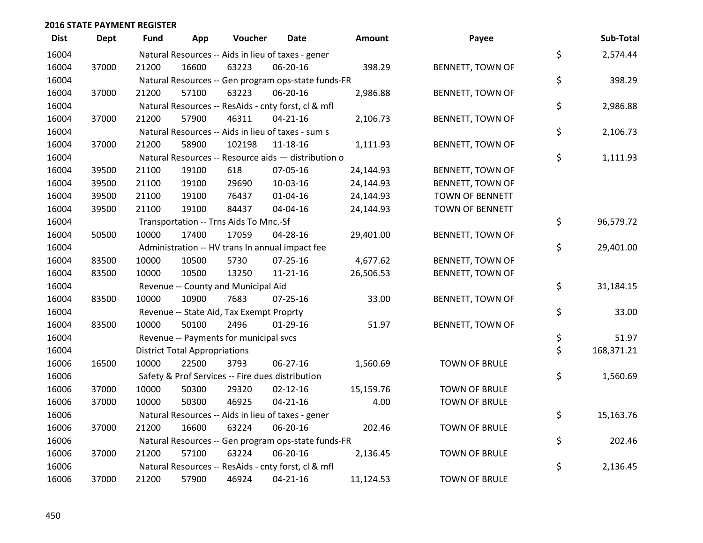| <b>Dist</b> | Dept  | Fund  | App                                  | Voucher                                  | Date                                                | Amount    | Payee                   | Sub-Total        |
|-------------|-------|-------|--------------------------------------|------------------------------------------|-----------------------------------------------------|-----------|-------------------------|------------------|
| 16004       |       |       |                                      |                                          | Natural Resources -- Aids in lieu of taxes - gener  |           |                         | \$<br>2,574.44   |
| 16004       | 37000 | 21200 | 16600                                | 63223                                    | 06-20-16                                            | 398.29    | BENNETT, TOWN OF        |                  |
| 16004       |       |       |                                      |                                          | Natural Resources -- Gen program ops-state funds-FR |           |                         | \$<br>398.29     |
| 16004       | 37000 | 21200 | 57100                                | 63223                                    | 06-20-16                                            | 2,986.88  | BENNETT, TOWN OF        |                  |
| 16004       |       |       |                                      |                                          | Natural Resources -- ResAids - cnty forst, cl & mfl |           |                         | \$<br>2,986.88   |
| 16004       | 37000 | 21200 | 57900                                | 46311                                    | $04 - 21 - 16$                                      | 2,106.73  | BENNETT, TOWN OF        |                  |
| 16004       |       |       |                                      |                                          | Natural Resources -- Aids in lieu of taxes - sum s  |           |                         | \$<br>2,106.73   |
| 16004       | 37000 | 21200 | 58900                                | 102198                                   | 11-18-16                                            | 1,111.93  | BENNETT, TOWN OF        |                  |
| 16004       |       |       |                                      |                                          | Natural Resources -- Resource aids - distribution o |           |                         | \$<br>1,111.93   |
| 16004       | 39500 | 21100 | 19100                                | 618                                      | 07-05-16                                            | 24,144.93 | BENNETT, TOWN OF        |                  |
| 16004       | 39500 | 21100 | 19100                                | 29690                                    | 10-03-16                                            | 24,144.93 | BENNETT, TOWN OF        |                  |
| 16004       | 39500 | 21100 | 19100                                | 76437                                    | $01 - 04 - 16$                                      | 24,144.93 | <b>TOWN OF BENNETT</b>  |                  |
| 16004       | 39500 | 21100 | 19100                                | 84437                                    | 04-04-16                                            | 24,144.93 | <b>TOWN OF BENNETT</b>  |                  |
| 16004       |       |       |                                      | Transportation -- Trns Aids To Mnc.-Sf   |                                                     |           |                         | \$<br>96,579.72  |
| 16004       | 50500 | 10000 | 17400                                | 17059                                    | 04-28-16                                            | 29,401.00 | BENNETT, TOWN OF        |                  |
| 16004       |       |       |                                      |                                          | Administration -- HV trans In annual impact fee     |           |                         | \$<br>29,401.00  |
| 16004       | 83500 | 10000 | 10500                                | 5730                                     | 07-25-16                                            | 4,677.62  | BENNETT, TOWN OF        |                  |
| 16004       | 83500 | 10000 | 10500                                | 13250                                    | $11 - 21 - 16$                                      | 26,506.53 | <b>BENNETT, TOWN OF</b> |                  |
| 16004       |       |       |                                      | Revenue -- County and Municipal Aid      |                                                     |           |                         | \$<br>31,184.15  |
| 16004       | 83500 | 10000 | 10900                                | 7683                                     | $07 - 25 - 16$                                      | 33.00     | BENNETT, TOWN OF        |                  |
| 16004       |       |       |                                      | Revenue -- State Aid, Tax Exempt Proprty |                                                     |           |                         | \$<br>33.00      |
| 16004       | 83500 | 10000 | 50100                                | 2496                                     | $01-29-16$                                          | 51.97     | BENNETT, TOWN OF        |                  |
| 16004       |       |       |                                      | Revenue -- Payments for municipal svcs   |                                                     |           |                         | \$<br>51.97      |
| 16004       |       |       | <b>District Total Appropriations</b> |                                          |                                                     |           |                         | \$<br>168,371.21 |
| 16006       | 16500 | 10000 | 22500                                | 3793                                     | 06-27-16                                            | 1,560.69  | <b>TOWN OF BRULE</b>    |                  |
| 16006       |       |       |                                      |                                          | Safety & Prof Services -- Fire dues distribution    |           |                         | \$<br>1,560.69   |
| 16006       | 37000 | 10000 | 50300                                | 29320                                    | $02 - 12 - 16$                                      | 15,159.76 | <b>TOWN OF BRULE</b>    |                  |
| 16006       | 37000 | 10000 | 50300                                | 46925                                    | $04 - 21 - 16$                                      | 4.00      | <b>TOWN OF BRULE</b>    |                  |
| 16006       |       |       |                                      |                                          | Natural Resources -- Aids in lieu of taxes - gener  |           |                         | \$<br>15,163.76  |
| 16006       | 37000 | 21200 | 16600                                | 63224                                    | 06-20-16                                            | 202.46    | <b>TOWN OF BRULE</b>    |                  |
| 16006       |       |       |                                      |                                          | Natural Resources -- Gen program ops-state funds-FR |           |                         | \$<br>202.46     |
| 16006       | 37000 | 21200 | 57100                                | 63224                                    | 06-20-16                                            | 2,136.45  | <b>TOWN OF BRULE</b>    |                  |
| 16006       |       |       |                                      |                                          | Natural Resources -- ResAids - cnty forst, cl & mfl |           |                         | \$<br>2,136.45   |
| 16006       | 37000 | 21200 | 57900                                | 46924                                    | 04-21-16                                            | 11,124.53 | <b>TOWN OF BRULE</b>    |                  |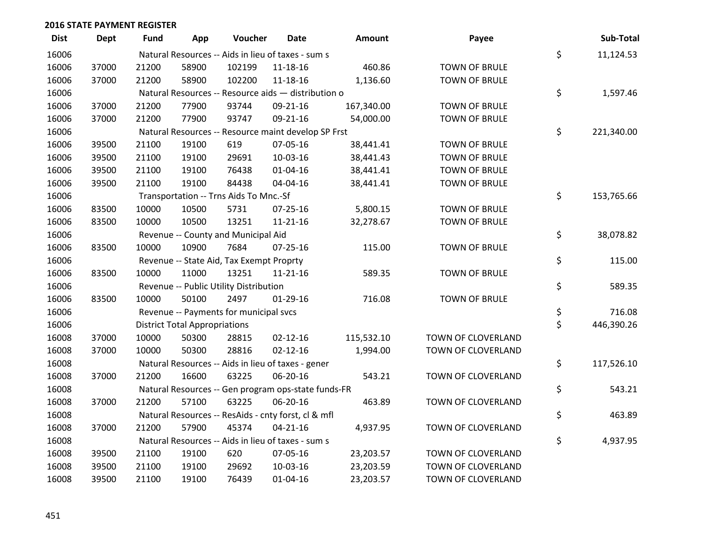| <b>Dist</b> | Dept  | <b>Fund</b> | App                                  | Voucher                                             | <b>Date</b>    | <b>Amount</b> | Payee                | Sub-Total        |
|-------------|-------|-------------|--------------------------------------|-----------------------------------------------------|----------------|---------------|----------------------|------------------|
| 16006       |       |             |                                      | Natural Resources -- Aids in lieu of taxes - sum s  |                |               |                      | \$<br>11,124.53  |
| 16006       | 37000 | 21200       | 58900                                | 102199                                              | 11-18-16       | 460.86        | <b>TOWN OF BRULE</b> |                  |
| 16006       | 37000 | 21200       | 58900                                | 102200                                              | $11 - 18 - 16$ | 1,136.60      | <b>TOWN OF BRULE</b> |                  |
| 16006       |       |             |                                      | Natural Resources -- Resource aids - distribution o |                |               |                      | \$<br>1,597.46   |
| 16006       | 37000 | 21200       | 77900                                | 93744                                               | 09-21-16       | 167,340.00    | <b>TOWN OF BRULE</b> |                  |
| 16006       | 37000 | 21200       | 77900                                | 93747                                               | 09-21-16       | 54,000.00     | <b>TOWN OF BRULE</b> |                  |
| 16006       |       |             |                                      | Natural Resources -- Resource maint develop SP Frst |                |               |                      | \$<br>221,340.00 |
| 16006       | 39500 | 21100       | 19100                                | 619                                                 | 07-05-16       | 38,441.41     | <b>TOWN OF BRULE</b> |                  |
| 16006       | 39500 | 21100       | 19100                                | 29691                                               | 10-03-16       | 38,441.43     | <b>TOWN OF BRULE</b> |                  |
| 16006       | 39500 | 21100       | 19100                                | 76438                                               | 01-04-16       | 38,441.41     | <b>TOWN OF BRULE</b> |                  |
| 16006       | 39500 | 21100       | 19100                                | 84438                                               | 04-04-16       | 38,441.41     | <b>TOWN OF BRULE</b> |                  |
| 16006       |       |             |                                      | Transportation -- Trns Aids To Mnc.-Sf              |                |               |                      | \$<br>153,765.66 |
| 16006       | 83500 | 10000       | 10500                                | 5731                                                | 07-25-16       | 5,800.15      | <b>TOWN OF BRULE</b> |                  |
| 16006       | 83500 | 10000       | 10500                                | 13251                                               | $11 - 21 - 16$ | 32,278.67     | <b>TOWN OF BRULE</b> |                  |
| 16006       |       |             |                                      | Revenue -- County and Municipal Aid                 |                |               |                      | \$<br>38,078.82  |
| 16006       | 83500 | 10000       | 10900                                | 7684                                                | 07-25-16       | 115.00        | <b>TOWN OF BRULE</b> |                  |
| 16006       |       |             |                                      | Revenue -- State Aid, Tax Exempt Proprty            |                |               |                      | \$<br>115.00     |
| 16006       | 83500 | 10000       | 11000                                | 13251                                               | $11 - 21 - 16$ | 589.35        | <b>TOWN OF BRULE</b> |                  |
| 16006       |       |             |                                      | Revenue -- Public Utility Distribution              |                |               |                      | \$<br>589.35     |
| 16006       | 83500 | 10000       | 50100                                | 2497                                                | $01-29-16$     | 716.08        | <b>TOWN OF BRULE</b> |                  |
| 16006       |       |             |                                      | Revenue -- Payments for municipal svcs              |                |               |                      | \$<br>716.08     |
| 16006       |       |             | <b>District Total Appropriations</b> |                                                     |                |               |                      | \$<br>446,390.26 |
| 16008       | 37000 | 10000       | 50300                                | 28815                                               | $02 - 12 - 16$ | 115,532.10    | TOWN OF CLOVERLAND   |                  |
| 16008       | 37000 | 10000       | 50300                                | 28816                                               | $02 - 12 - 16$ | 1,994.00      | TOWN OF CLOVERLAND   |                  |
| 16008       |       |             |                                      | Natural Resources -- Aids in lieu of taxes - gener  |                |               |                      | \$<br>117,526.10 |
| 16008       | 37000 | 21200       | 16600                                | 63225                                               | 06-20-16       | 543.21        | TOWN OF CLOVERLAND   |                  |
| 16008       |       |             |                                      | Natural Resources -- Gen program ops-state funds-FR |                |               |                      | \$<br>543.21     |
| 16008       | 37000 | 21200       | 57100                                | 63225                                               | 06-20-16       | 463.89        | TOWN OF CLOVERLAND   |                  |
| 16008       |       |             |                                      | Natural Resources -- ResAids - cnty forst, cl & mfl |                |               |                      | \$<br>463.89     |
| 16008       | 37000 | 21200       | 57900                                | 45374                                               | $04 - 21 - 16$ | 4,937.95      | TOWN OF CLOVERLAND   |                  |
| 16008       |       |             |                                      | Natural Resources -- Aids in lieu of taxes - sum s  |                |               |                      | \$<br>4,937.95   |
| 16008       | 39500 | 21100       | 19100                                | 620                                                 | 07-05-16       | 23,203.57     | TOWN OF CLOVERLAND   |                  |
| 16008       | 39500 | 21100       | 19100                                | 29692                                               | 10-03-16       | 23,203.59     | TOWN OF CLOVERLAND   |                  |
| 16008       | 39500 | 21100       | 19100                                | 76439                                               | $01 - 04 - 16$ | 23,203.57     | TOWN OF CLOVERLAND   |                  |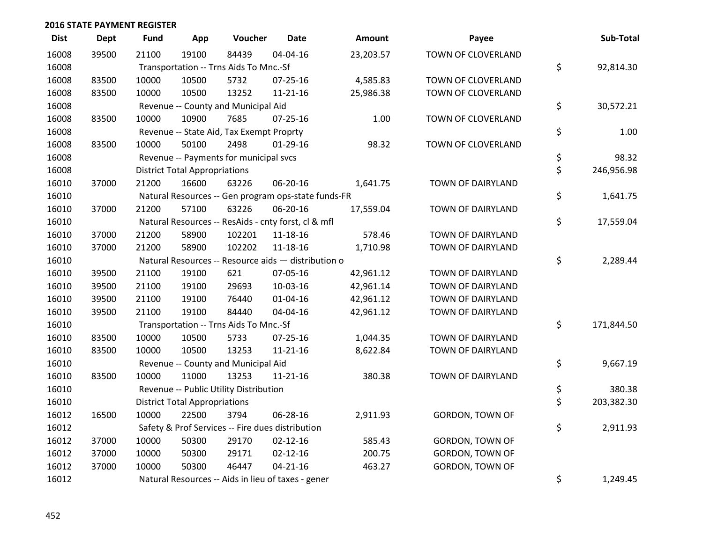| <b>Dist</b> | <b>Dept</b> | <b>Fund</b> | App                                  | Voucher                                             | <b>Date</b>    | <b>Amount</b> | Payee                  | Sub-Total        |
|-------------|-------------|-------------|--------------------------------------|-----------------------------------------------------|----------------|---------------|------------------------|------------------|
| 16008       | 39500       | 21100       | 19100                                | 84439                                               | 04-04-16       | 23,203.57     | TOWN OF CLOVERLAND     |                  |
| 16008       |             |             |                                      | Transportation -- Trns Aids To Mnc.-Sf              |                |               |                        | \$<br>92,814.30  |
| 16008       | 83500       | 10000       | 10500                                | 5732                                                | 07-25-16       | 4,585.83      | TOWN OF CLOVERLAND     |                  |
| 16008       | 83500       | 10000       | 10500                                | 13252                                               | $11 - 21 - 16$ | 25,986.38     | TOWN OF CLOVERLAND     |                  |
| 16008       |             |             |                                      | Revenue -- County and Municipal Aid                 |                |               |                        | \$<br>30,572.21  |
| 16008       | 83500       | 10000       | 10900                                | 7685                                                | $07 - 25 - 16$ | 1.00          | TOWN OF CLOVERLAND     |                  |
| 16008       |             |             |                                      | Revenue -- State Aid, Tax Exempt Proprty            |                |               |                        | \$<br>1.00       |
| 16008       | 83500       | 10000       | 50100                                | 2498                                                | $01-29-16$     | 98.32         | TOWN OF CLOVERLAND     |                  |
| 16008       |             |             |                                      | Revenue -- Payments for municipal svcs              |                |               |                        | \$<br>98.32      |
| 16008       |             |             | <b>District Total Appropriations</b> |                                                     |                |               |                        | \$<br>246,956.98 |
| 16010       | 37000       | 21200       | 16600                                | 63226                                               | 06-20-16       | 1,641.75      | TOWN OF DAIRYLAND      |                  |
| 16010       |             |             |                                      | Natural Resources -- Gen program ops-state funds-FR |                |               |                        | \$<br>1,641.75   |
| 16010       | 37000       | 21200       | 57100                                | 63226                                               | 06-20-16       | 17,559.04     | TOWN OF DAIRYLAND      |                  |
| 16010       |             |             |                                      | Natural Resources -- ResAids - cnty forst, cl & mfl |                |               |                        | \$<br>17,559.04  |
| 16010       | 37000       | 21200       | 58900                                | 102201                                              | 11-18-16       | 578.46        | TOWN OF DAIRYLAND      |                  |
| 16010       | 37000       | 21200       | 58900                                | 102202                                              | 11-18-16       | 1,710.98      | TOWN OF DAIRYLAND      |                  |
| 16010       |             |             |                                      | Natural Resources -- Resource aids - distribution o |                |               |                        | \$<br>2,289.44   |
| 16010       | 39500       | 21100       | 19100                                | 621                                                 | 07-05-16       | 42,961.12     | TOWN OF DAIRYLAND      |                  |
| 16010       | 39500       | 21100       | 19100                                | 29693                                               | 10-03-16       | 42,961.14     | TOWN OF DAIRYLAND      |                  |
| 16010       | 39500       | 21100       | 19100                                | 76440                                               | $01 - 04 - 16$ | 42,961.12     | TOWN OF DAIRYLAND      |                  |
| 16010       | 39500       | 21100       | 19100                                | 84440                                               | 04-04-16       | 42,961.12     | TOWN OF DAIRYLAND      |                  |
| 16010       |             |             |                                      | Transportation -- Trns Aids To Mnc.-Sf              |                |               |                        | \$<br>171,844.50 |
| 16010       | 83500       | 10000       | 10500                                | 5733                                                | 07-25-16       | 1,044.35      | TOWN OF DAIRYLAND      |                  |
| 16010       | 83500       | 10000       | 10500                                | 13253                                               | $11 - 21 - 16$ | 8,622.84      | TOWN OF DAIRYLAND      |                  |
| 16010       |             |             |                                      | Revenue -- County and Municipal Aid                 |                |               |                        | \$<br>9,667.19   |
| 16010       | 83500       | 10000       | 11000                                | 13253                                               | $11 - 21 - 16$ | 380.38        | TOWN OF DAIRYLAND      |                  |
| 16010       |             |             |                                      | Revenue -- Public Utility Distribution              |                |               |                        | \$<br>380.38     |
| 16010       |             |             | <b>District Total Appropriations</b> |                                                     |                |               |                        | \$<br>203,382.30 |
| 16012       | 16500       | 10000       | 22500                                | 3794                                                | 06-28-16       | 2,911.93      | <b>GORDON, TOWN OF</b> |                  |
| 16012       |             |             |                                      | Safety & Prof Services -- Fire dues distribution    |                |               |                        | \$<br>2,911.93   |
| 16012       | 37000       | 10000       | 50300                                | 29170                                               | $02 - 12 - 16$ | 585.43        | <b>GORDON, TOWN OF</b> |                  |
| 16012       | 37000       | 10000       | 50300                                | 29171                                               | $02 - 12 - 16$ | 200.75        | <b>GORDON, TOWN OF</b> |                  |
| 16012       | 37000       | 10000       | 50300                                | 46447                                               | $04 - 21 - 16$ | 463.27        | GORDON, TOWN OF        |                  |
| 16012       |             |             |                                      | Natural Resources -- Aids in lieu of taxes - gener  |                |               |                        | \$<br>1,249.45   |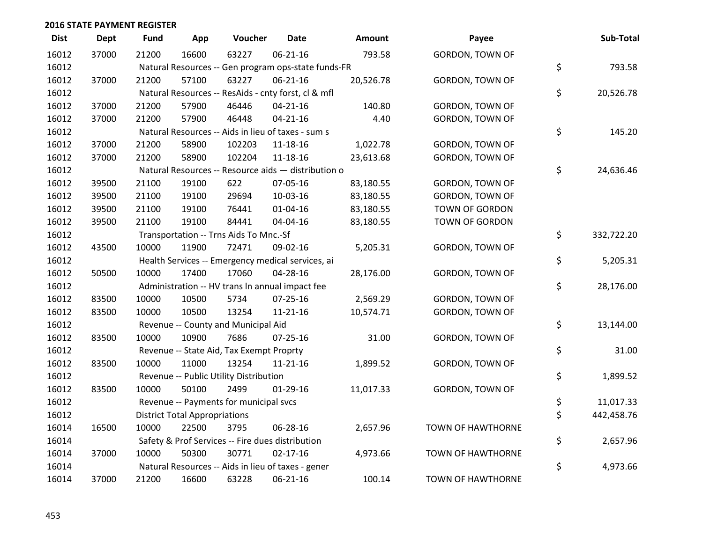| <b>Dist</b> | <b>Dept</b> | <b>Fund</b> | App                                  | Voucher                                             | <b>Date</b>    | Amount    | Payee                    | Sub-Total        |
|-------------|-------------|-------------|--------------------------------------|-----------------------------------------------------|----------------|-----------|--------------------------|------------------|
| 16012       | 37000       | 21200       | 16600                                | 63227                                               | $06 - 21 - 16$ | 793.58    | <b>GORDON, TOWN OF</b>   |                  |
| 16012       |             |             |                                      | Natural Resources -- Gen program ops-state funds-FR |                |           |                          | \$<br>793.58     |
| 16012       | 37000       | 21200       | 57100                                | 63227                                               | 06-21-16       | 20,526.78 | GORDON, TOWN OF          |                  |
| 16012       |             |             |                                      | Natural Resources -- ResAids - cnty forst, cl & mfl |                |           |                          | \$<br>20,526.78  |
| 16012       | 37000       | 21200       | 57900                                | 46446                                               | $04 - 21 - 16$ | 140.80    | GORDON, TOWN OF          |                  |
| 16012       | 37000       | 21200       | 57900                                | 46448                                               | $04 - 21 - 16$ | 4.40      | <b>GORDON, TOWN OF</b>   |                  |
| 16012       |             |             |                                      | Natural Resources -- Aids in lieu of taxes - sum s  |                |           |                          | \$<br>145.20     |
| 16012       | 37000       | 21200       | 58900                                | 102203                                              | 11-18-16       | 1,022.78  | <b>GORDON, TOWN OF</b>   |                  |
| 16012       | 37000       | 21200       | 58900                                | 102204                                              | 11-18-16       | 23,613.68 | GORDON, TOWN OF          |                  |
| 16012       |             |             |                                      | Natural Resources -- Resource aids - distribution o |                |           |                          | \$<br>24,636.46  |
| 16012       | 39500       | 21100       | 19100                                | 622                                                 | 07-05-16       | 83,180.55 | GORDON, TOWN OF          |                  |
| 16012       | 39500       | 21100       | 19100                                | 29694                                               | 10-03-16       | 83,180.55 | <b>GORDON, TOWN OF</b>   |                  |
| 16012       | 39500       | 21100       | 19100                                | 76441                                               | $01 - 04 - 16$ | 83,180.55 | TOWN OF GORDON           |                  |
| 16012       | 39500       | 21100       | 19100                                | 84441                                               | 04-04-16       | 83,180.55 | TOWN OF GORDON           |                  |
| 16012       |             |             |                                      | Transportation -- Trns Aids To Mnc.-Sf              |                |           |                          | \$<br>332,722.20 |
| 16012       | 43500       | 10000       | 11900                                | 72471                                               | 09-02-16       | 5,205.31  | GORDON, TOWN OF          |                  |
| 16012       |             |             |                                      | Health Services -- Emergency medical services, ai   |                |           |                          | \$<br>5,205.31   |
| 16012       | 50500       | 10000       | 17400                                | 17060                                               | 04-28-16       | 28,176.00 | GORDON, TOWN OF          |                  |
| 16012       |             |             |                                      | Administration -- HV trans In annual impact fee     |                |           |                          | \$<br>28,176.00  |
| 16012       | 83500       | 10000       | 10500                                | 5734                                                | 07-25-16       | 2,569.29  | GORDON, TOWN OF          |                  |
| 16012       | 83500       | 10000       | 10500                                | 13254                                               | 11-21-16       | 10,574.71 | <b>GORDON, TOWN OF</b>   |                  |
| 16012       |             |             |                                      | Revenue -- County and Municipal Aid                 |                |           |                          | \$<br>13,144.00  |
| 16012       | 83500       | 10000       | 10900                                | 7686                                                | 07-25-16       | 31.00     | GORDON, TOWN OF          |                  |
| 16012       |             |             |                                      | Revenue -- State Aid, Tax Exempt Proprty            |                |           |                          | \$<br>31.00      |
| 16012       | 83500       | 10000       | 11000                                | 13254                                               | $11 - 21 - 16$ | 1,899.52  | <b>GORDON, TOWN OF</b>   |                  |
| 16012       |             |             |                                      | Revenue -- Public Utility Distribution              |                |           |                          | \$<br>1,899.52   |
| 16012       | 83500       | 10000       | 50100                                | 2499                                                | $01-29-16$     | 11,017.33 | <b>GORDON, TOWN OF</b>   |                  |
| 16012       |             |             |                                      | Revenue -- Payments for municipal svcs              |                |           |                          | \$<br>11,017.33  |
| 16012       |             |             | <b>District Total Appropriations</b> |                                                     |                |           |                          | \$<br>442,458.76 |
| 16014       | 16500       | 10000       | 22500                                | 3795                                                | 06-28-16       | 2,657.96  | TOWN OF HAWTHORNE        |                  |
| 16014       |             |             |                                      | Safety & Prof Services -- Fire dues distribution    |                |           |                          | \$<br>2,657.96   |
| 16014       | 37000       | 10000       | 50300                                | 30771                                               | $02 - 17 - 16$ | 4,973.66  | <b>TOWN OF HAWTHORNE</b> |                  |
| 16014       |             |             |                                      | Natural Resources -- Aids in lieu of taxes - gener  |                |           |                          | \$<br>4,973.66   |
| 16014       | 37000       | 21200       | 16600                                | 63228                                               | 06-21-16       | 100.14    | <b>TOWN OF HAWTHORNE</b> |                  |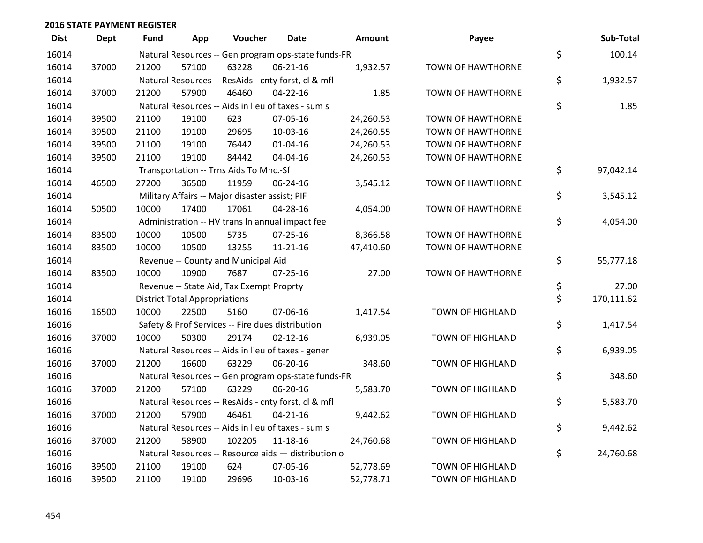| <b>Dist</b> | <b>Dept</b> | <b>Fund</b> | App                                  | Voucher                                          | <b>Date</b>                                         | <b>Amount</b> | Payee                    | Sub-Total        |
|-------------|-------------|-------------|--------------------------------------|--------------------------------------------------|-----------------------------------------------------|---------------|--------------------------|------------------|
| 16014       |             |             |                                      |                                                  | Natural Resources -- Gen program ops-state funds-FR |               |                          | \$<br>100.14     |
| 16014       | 37000       | 21200       | 57100                                | 63228                                            | 06-21-16                                            | 1,932.57      | TOWN OF HAWTHORNE        |                  |
| 16014       |             |             |                                      |                                                  | Natural Resources -- ResAids - cnty forst, cl & mfl |               |                          | \$<br>1,932.57   |
| 16014       | 37000       | 21200       | 57900                                | 46460                                            | $04 - 22 - 16$                                      | 1.85          | <b>TOWN OF HAWTHORNE</b> |                  |
| 16014       |             |             |                                      |                                                  | Natural Resources -- Aids in lieu of taxes - sum s  |               |                          | \$<br>1.85       |
| 16014       | 39500       | 21100       | 19100                                | 623                                              | 07-05-16                                            | 24,260.53     | <b>TOWN OF HAWTHORNE</b> |                  |
| 16014       | 39500       | 21100       | 19100                                | 29695                                            | 10-03-16                                            | 24,260.55     | TOWN OF HAWTHORNE        |                  |
| 16014       | 39500       | 21100       | 19100                                | 76442                                            | $01 - 04 - 16$                                      | 24,260.53     | <b>TOWN OF HAWTHORNE</b> |                  |
| 16014       | 39500       | 21100       | 19100                                | 84442                                            | 04-04-16                                            | 24,260.53     | TOWN OF HAWTHORNE        |                  |
| 16014       |             |             |                                      | Transportation -- Trns Aids To Mnc.-Sf           |                                                     |               |                          | \$<br>97,042.14  |
| 16014       | 46500       | 27200       | 36500                                | 11959                                            | 06-24-16                                            | 3,545.12      | TOWN OF HAWTHORNE        |                  |
| 16014       |             |             |                                      | Military Affairs -- Major disaster assist; PIF   |                                                     |               |                          | \$<br>3,545.12   |
| 16014       | 50500       | 10000       | 17400                                | 17061                                            | 04-28-16                                            | 4,054.00      | TOWN OF HAWTHORNE        |                  |
| 16014       |             |             |                                      |                                                  | Administration -- HV trans In annual impact fee     |               |                          | \$<br>4,054.00   |
| 16014       | 83500       | 10000       | 10500                                | 5735                                             | $07 - 25 - 16$                                      | 8,366.58      | TOWN OF HAWTHORNE        |                  |
| 16014       | 83500       | 10000       | 10500                                | 13255                                            | $11 - 21 - 16$                                      | 47,410.60     | TOWN OF HAWTHORNE        |                  |
| 16014       |             |             |                                      | Revenue -- County and Municipal Aid              |                                                     |               |                          | \$<br>55,777.18  |
| 16014       | 83500       | 10000       | 10900                                | 7687                                             | $07 - 25 - 16$                                      | 27.00         | TOWN OF HAWTHORNE        |                  |
| 16014       |             |             |                                      | Revenue -- State Aid, Tax Exempt Proprty         |                                                     |               |                          | \$<br>27.00      |
| 16014       |             |             | <b>District Total Appropriations</b> |                                                  |                                                     |               |                          | \$<br>170,111.62 |
| 16016       | 16500       | 10000       | 22500                                | 5160                                             | 07-06-16                                            | 1,417.54      | <b>TOWN OF HIGHLAND</b>  |                  |
| 16016       |             |             |                                      | Safety & Prof Services -- Fire dues distribution |                                                     |               |                          | \$<br>1,417.54   |
| 16016       | 37000       | 10000       | 50300                                | 29174                                            | $02 - 12 - 16$                                      | 6,939.05      | TOWN OF HIGHLAND         |                  |
| 16016       |             |             |                                      |                                                  | Natural Resources -- Aids in lieu of taxes - gener  |               |                          | \$<br>6,939.05   |
| 16016       | 37000       | 21200       | 16600                                | 63229                                            | 06-20-16                                            | 348.60        | <b>TOWN OF HIGHLAND</b>  |                  |
| 16016       |             |             |                                      |                                                  | Natural Resources -- Gen program ops-state funds-FR |               |                          | \$<br>348.60     |
| 16016       | 37000       | 21200       | 57100                                | 63229                                            | 06-20-16                                            | 5,583.70      | <b>TOWN OF HIGHLAND</b>  |                  |
| 16016       |             |             |                                      |                                                  | Natural Resources -- ResAids - cnty forst, cl & mfl |               |                          | \$<br>5,583.70   |
| 16016       | 37000       | 21200       | 57900                                | 46461                                            | $04 - 21 - 16$                                      | 9,442.62      | <b>TOWN OF HIGHLAND</b>  |                  |
| 16016       |             |             |                                      |                                                  | Natural Resources -- Aids in lieu of taxes - sum s  |               |                          | \$<br>9,442.62   |
| 16016       | 37000       | 21200       | 58900                                | 102205                                           | 11-18-16                                            | 24,760.68     | <b>TOWN OF HIGHLAND</b>  |                  |
| 16016       |             |             |                                      |                                                  | Natural Resources -- Resource aids - distribution o |               |                          | \$<br>24,760.68  |
| 16016       | 39500       | 21100       | 19100                                | 624                                              | 07-05-16                                            | 52,778.69     | <b>TOWN OF HIGHLAND</b>  |                  |
| 16016       | 39500       | 21100       | 19100                                | 29696                                            | 10-03-16                                            | 52,778.71     | <b>TOWN OF HIGHLAND</b>  |                  |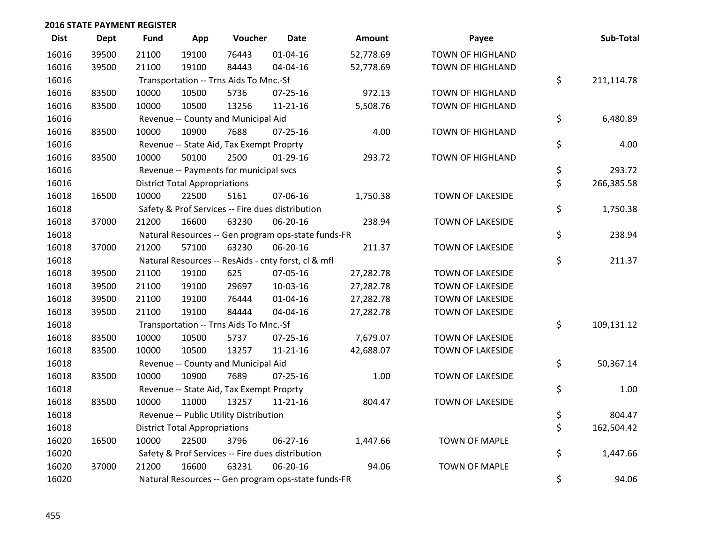| <b>Dist</b> | Dept  | <b>Fund</b> | App                                  | Voucher                                  | <b>Date</b>                                         | <b>Amount</b> | Payee                   | Sub-Total        |
|-------------|-------|-------------|--------------------------------------|------------------------------------------|-----------------------------------------------------|---------------|-------------------------|------------------|
| 16016       | 39500 | 21100       | 19100                                | 76443                                    | $01 - 04 - 16$                                      | 52,778.69     | <b>TOWN OF HIGHLAND</b> |                  |
| 16016       | 39500 | 21100       | 19100                                | 84443                                    | 04-04-16                                            | 52,778.69     | <b>TOWN OF HIGHLAND</b> |                  |
| 16016       |       |             |                                      | Transportation -- Trns Aids To Mnc.-Sf   |                                                     |               |                         | \$<br>211,114.78 |
| 16016       | 83500 | 10000       | 10500                                | 5736                                     | 07-25-16                                            | 972.13        | TOWN OF HIGHLAND        |                  |
| 16016       | 83500 | 10000       | 10500                                | 13256                                    | $11 - 21 - 16$                                      | 5,508.76      | <b>TOWN OF HIGHLAND</b> |                  |
| 16016       |       |             |                                      | Revenue -- County and Municipal Aid      |                                                     |               |                         | \$<br>6,480.89   |
| 16016       | 83500 | 10000       | 10900                                | 7688                                     | $07 - 25 - 16$                                      | 4.00          | <b>TOWN OF HIGHLAND</b> |                  |
| 16016       |       |             |                                      | Revenue -- State Aid, Tax Exempt Proprty |                                                     |               |                         | \$<br>4.00       |
| 16016       | 83500 | 10000       | 50100                                | 2500                                     | $01-29-16$                                          | 293.72        | <b>TOWN OF HIGHLAND</b> |                  |
| 16016       |       |             |                                      | Revenue -- Payments for municipal svcs   |                                                     |               |                         | \$<br>293.72     |
| 16016       |       |             | <b>District Total Appropriations</b> |                                          |                                                     |               |                         | \$<br>266,385.58 |
| 16018       | 16500 | 10000       | 22500                                | 5161                                     | 07-06-16                                            | 1,750.38      | TOWN OF LAKESIDE        |                  |
| 16018       |       |             |                                      |                                          | Safety & Prof Services -- Fire dues distribution    |               |                         | \$<br>1,750.38   |
| 16018       | 37000 | 21200       | 16600                                | 63230                                    | 06-20-16                                            | 238.94        | <b>TOWN OF LAKESIDE</b> |                  |
| 16018       |       |             |                                      |                                          | Natural Resources -- Gen program ops-state funds-FR |               |                         | \$<br>238.94     |
| 16018       | 37000 | 21200       | 57100                                | 63230                                    | 06-20-16                                            | 211.37        | TOWN OF LAKESIDE        |                  |
| 16018       |       |             |                                      |                                          | Natural Resources -- ResAids - cnty forst, cl & mfl |               |                         | \$<br>211.37     |
| 16018       | 39500 | 21100       | 19100                                | 625                                      | 07-05-16                                            | 27,282.78     | TOWN OF LAKESIDE        |                  |
| 16018       | 39500 | 21100       | 19100                                | 29697                                    | 10-03-16                                            | 27,282.78     | <b>TOWN OF LAKESIDE</b> |                  |
| 16018       | 39500 | 21100       | 19100                                | 76444                                    | 01-04-16                                            | 27,282.78     | TOWN OF LAKESIDE        |                  |
| 16018       | 39500 | 21100       | 19100                                | 84444                                    | 04-04-16                                            | 27,282.78     | TOWN OF LAKESIDE        |                  |
| 16018       |       |             |                                      | Transportation -- Trns Aids To Mnc.-Sf   |                                                     |               |                         | \$<br>109,131.12 |
| 16018       | 83500 | 10000       | 10500                                | 5737                                     | $07 - 25 - 16$                                      | 7,679.07      | <b>TOWN OF LAKESIDE</b> |                  |
| 16018       | 83500 | 10000       | 10500                                | 13257                                    | $11 - 21 - 16$                                      | 42,688.07     | TOWN OF LAKESIDE        |                  |
| 16018       |       |             |                                      | Revenue -- County and Municipal Aid      |                                                     |               |                         | \$<br>50,367.14  |
| 16018       | 83500 | 10000       | 10900                                | 7689                                     | $07 - 25 - 16$                                      | 1.00          | TOWN OF LAKESIDE        |                  |
| 16018       |       |             |                                      | Revenue -- State Aid, Tax Exempt Proprty |                                                     |               |                         | \$<br>1.00       |
| 16018       | 83500 | 10000       | 11000                                | 13257                                    | $11 - 21 - 16$                                      | 804.47        | TOWN OF LAKESIDE        |                  |
| 16018       |       |             |                                      | Revenue -- Public Utility Distribution   |                                                     |               |                         | \$<br>804.47     |
| 16018       |       |             | <b>District Total Appropriations</b> |                                          |                                                     |               |                         | \$<br>162,504.42 |
| 16020       | 16500 | 10000       | 22500                                | 3796                                     | 06-27-16                                            | 1,447.66      | <b>TOWN OF MAPLE</b>    |                  |
| 16020       |       |             |                                      |                                          | Safety & Prof Services -- Fire dues distribution    |               |                         | \$<br>1,447.66   |
| 16020       | 37000 | 21200       | 16600                                | 63231                                    | 06-20-16                                            | 94.06         | <b>TOWN OF MAPLE</b>    |                  |
| 16020       |       |             |                                      |                                          | Natural Resources -- Gen program ops-state funds-FR |               |                         | \$<br>94.06      |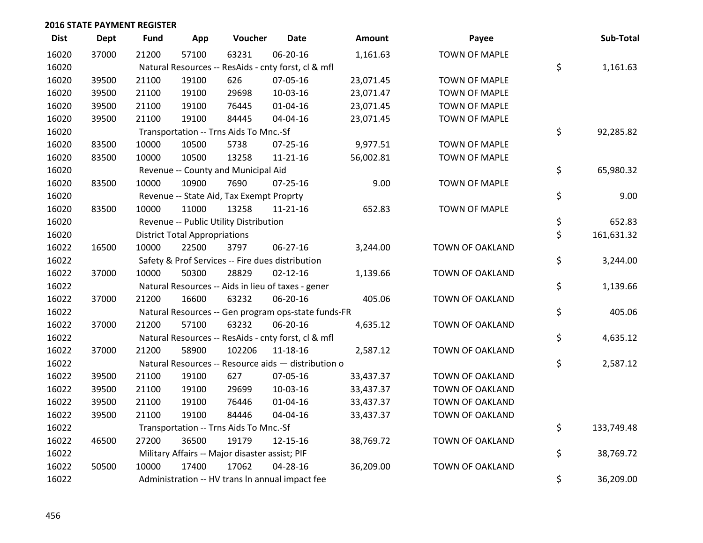| <b>Dist</b> | <b>Dept</b> | <b>Fund</b> | App                                  | Voucher                                             | <b>Date</b>    | <b>Amount</b> | Payee                  | Sub-Total        |
|-------------|-------------|-------------|--------------------------------------|-----------------------------------------------------|----------------|---------------|------------------------|------------------|
| 16020       | 37000       | 21200       | 57100                                | 63231                                               | 06-20-16       | 1,161.63      | <b>TOWN OF MAPLE</b>   |                  |
| 16020       |             |             |                                      | Natural Resources -- ResAids - cnty forst, cl & mfl |                |               |                        | \$<br>1,161.63   |
| 16020       | 39500       | 21100       | 19100                                | 626                                                 | 07-05-16       | 23,071.45     | <b>TOWN OF MAPLE</b>   |                  |
| 16020       | 39500       | 21100       | 19100                                | 29698                                               | 10-03-16       | 23,071.47     | TOWN OF MAPLE          |                  |
| 16020       | 39500       | 21100       | 19100                                | 76445                                               | $01 - 04 - 16$ | 23,071.45     | <b>TOWN OF MAPLE</b>   |                  |
| 16020       | 39500       | 21100       | 19100                                | 84445                                               | 04-04-16       | 23,071.45     | TOWN OF MAPLE          |                  |
| 16020       |             |             |                                      | Transportation -- Trns Aids To Mnc.-Sf              |                |               |                        | \$<br>92,285.82  |
| 16020       | 83500       | 10000       | 10500                                | 5738                                                | $07 - 25 - 16$ | 9,977.51      | <b>TOWN OF MAPLE</b>   |                  |
| 16020       | 83500       | 10000       | 10500                                | 13258                                               | $11 - 21 - 16$ | 56,002.81     | <b>TOWN OF MAPLE</b>   |                  |
| 16020       |             |             |                                      | Revenue -- County and Municipal Aid                 |                |               |                        | \$<br>65,980.32  |
| 16020       | 83500       | 10000       | 10900                                | 7690                                                | $07 - 25 - 16$ | 9.00          | <b>TOWN OF MAPLE</b>   |                  |
| 16020       |             |             |                                      | Revenue -- State Aid, Tax Exempt Proprty            |                |               |                        | \$<br>9.00       |
| 16020       | 83500       | 10000       | 11000                                | 13258                                               | $11 - 21 - 16$ | 652.83        | <b>TOWN OF MAPLE</b>   |                  |
| 16020       |             |             |                                      | Revenue -- Public Utility Distribution              |                |               |                        | \$<br>652.83     |
| 16020       |             |             | <b>District Total Appropriations</b> |                                                     |                |               |                        | \$<br>161,631.32 |
| 16022       | 16500       | 10000       | 22500                                | 3797                                                | 06-27-16       | 3,244.00      | <b>TOWN OF OAKLAND</b> |                  |
| 16022       |             |             |                                      | Safety & Prof Services -- Fire dues distribution    |                |               |                        | \$<br>3,244.00   |
| 16022       | 37000       | 10000       | 50300                                | 28829                                               | $02 - 12 - 16$ | 1,139.66      | <b>TOWN OF OAKLAND</b> |                  |
| 16022       |             |             |                                      | Natural Resources -- Aids in lieu of taxes - gener  |                |               |                        | \$<br>1,139.66   |
| 16022       | 37000       | 21200       | 16600                                | 63232                                               | 06-20-16       | 405.06        | TOWN OF OAKLAND        |                  |
| 16022       |             |             |                                      | Natural Resources -- Gen program ops-state funds-FR |                |               |                        | \$<br>405.06     |
| 16022       | 37000       | 21200       | 57100                                | 63232                                               | 06-20-16       | 4,635.12      | TOWN OF OAKLAND        |                  |
| 16022       |             |             |                                      | Natural Resources -- ResAids - cnty forst, cl & mfl |                |               |                        | \$<br>4,635.12   |
| 16022       | 37000       | 21200       | 58900                                | 102206                                              | 11-18-16       | 2,587.12      | TOWN OF OAKLAND        |                  |
| 16022       |             |             |                                      | Natural Resources -- Resource aids - distribution o |                |               |                        | \$<br>2,587.12   |
| 16022       | 39500       | 21100       | 19100                                | 627                                                 | 07-05-16       | 33,437.37     | TOWN OF OAKLAND        |                  |
| 16022       | 39500       | 21100       | 19100                                | 29699                                               | 10-03-16       | 33,437.37     | TOWN OF OAKLAND        |                  |
| 16022       | 39500       | 21100       | 19100                                | 76446                                               | 01-04-16       | 33,437.37     | TOWN OF OAKLAND        |                  |
| 16022       | 39500       | 21100       | 19100                                | 84446                                               | 04-04-16       | 33,437.37     | TOWN OF OAKLAND        |                  |
| 16022       |             |             |                                      | Transportation -- Trns Aids To Mnc.-Sf              |                |               |                        | \$<br>133,749.48 |
| 16022       | 46500       | 27200       | 36500                                | 19179                                               | 12-15-16       | 38,769.72     | TOWN OF OAKLAND        |                  |
| 16022       |             |             |                                      | Military Affairs -- Major disaster assist; PIF      |                |               |                        | \$<br>38,769.72  |
| 16022       | 50500       | 10000       | 17400                                | 17062                                               | 04-28-16       | 36,209.00     | <b>TOWN OF OAKLAND</b> |                  |
| 16022       |             |             |                                      | Administration -- HV trans In annual impact fee     |                |               |                        | \$<br>36,209.00  |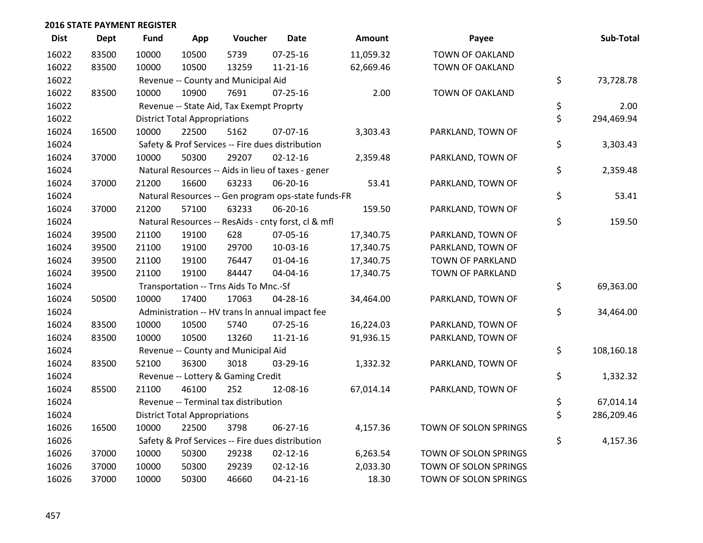| <b>Dist</b> | <b>Dept</b> | <b>Fund</b> | App                                  | Voucher                                  | <b>Date</b>                                         | <b>Amount</b> | Payee                  | Sub-Total        |
|-------------|-------------|-------------|--------------------------------------|------------------------------------------|-----------------------------------------------------|---------------|------------------------|------------------|
| 16022       | 83500       | 10000       | 10500                                | 5739                                     | $07 - 25 - 16$                                      | 11,059.32     | <b>TOWN OF OAKLAND</b> |                  |
| 16022       | 83500       | 10000       | 10500                                | 13259                                    | $11 - 21 - 16$                                      | 62,669.46     | TOWN OF OAKLAND        |                  |
| 16022       |             |             |                                      | Revenue -- County and Municipal Aid      |                                                     |               |                        | \$<br>73,728.78  |
| 16022       | 83500       | 10000       | 10900                                | 7691                                     | $07 - 25 - 16$                                      | 2.00          | <b>TOWN OF OAKLAND</b> |                  |
| 16022       |             |             |                                      | Revenue -- State Aid, Tax Exempt Proprty |                                                     |               |                        | \$<br>2.00       |
| 16022       |             |             | <b>District Total Appropriations</b> |                                          |                                                     |               |                        | \$<br>294,469.94 |
| 16024       | 16500       | 10000       | 22500                                | 5162                                     | 07-07-16                                            | 3,303.43      | PARKLAND, TOWN OF      |                  |
| 16024       |             |             |                                      |                                          | Safety & Prof Services -- Fire dues distribution    |               |                        | \$<br>3,303.43   |
| 16024       | 37000       | 10000       | 50300                                | 29207                                    | $02 - 12 - 16$                                      | 2,359.48      | PARKLAND, TOWN OF      |                  |
| 16024       |             |             |                                      |                                          | Natural Resources -- Aids in lieu of taxes - gener  |               |                        | \$<br>2,359.48   |
| 16024       | 37000       | 21200       | 16600                                | 63233                                    | 06-20-16                                            | 53.41         | PARKLAND, TOWN OF      |                  |
| 16024       |             |             |                                      |                                          | Natural Resources -- Gen program ops-state funds-FR |               |                        | \$<br>53.41      |
| 16024       | 37000       | 21200       | 57100                                | 63233                                    | 06-20-16                                            | 159.50        | PARKLAND, TOWN OF      |                  |
| 16024       |             |             |                                      |                                          | Natural Resources -- ResAids - cnty forst, cl & mfl |               |                        | \$<br>159.50     |
| 16024       | 39500       | 21100       | 19100                                | 628                                      | 07-05-16                                            | 17,340.75     | PARKLAND, TOWN OF      |                  |
| 16024       | 39500       | 21100       | 19100                                | 29700                                    | 10-03-16                                            | 17,340.75     | PARKLAND, TOWN OF      |                  |
| 16024       | 39500       | 21100       | 19100                                | 76447                                    | $01 - 04 - 16$                                      | 17,340.75     | TOWN OF PARKLAND       |                  |
| 16024       | 39500       | 21100       | 19100                                | 84447                                    | 04-04-16                                            | 17,340.75     | TOWN OF PARKLAND       |                  |
| 16024       |             |             |                                      | Transportation -- Trns Aids To Mnc.-Sf   |                                                     |               |                        | \$<br>69,363.00  |
| 16024       | 50500       | 10000       | 17400                                | 17063                                    | 04-28-16                                            | 34,464.00     | PARKLAND, TOWN OF      |                  |
| 16024       |             |             |                                      |                                          | Administration -- HV trans In annual impact fee     |               |                        | \$<br>34,464.00  |
| 16024       | 83500       | 10000       | 10500                                | 5740                                     | 07-25-16                                            | 16,224.03     | PARKLAND, TOWN OF      |                  |
| 16024       | 83500       | 10000       | 10500                                | 13260                                    | $11 - 21 - 16$                                      | 91,936.15     | PARKLAND, TOWN OF      |                  |
| 16024       |             |             |                                      | Revenue -- County and Municipal Aid      |                                                     |               |                        | \$<br>108,160.18 |
| 16024       | 83500       | 52100       | 36300                                | 3018                                     | 03-29-16                                            | 1,332.32      | PARKLAND, TOWN OF      |                  |
| 16024       |             |             |                                      | Revenue -- Lottery & Gaming Credit       |                                                     |               |                        | \$<br>1,332.32   |
| 16024       | 85500       | 21100       | 46100                                | 252                                      | 12-08-16                                            | 67,014.14     | PARKLAND, TOWN OF      |                  |
| 16024       |             |             |                                      | Revenue -- Terminal tax distribution     |                                                     |               |                        | \$<br>67,014.14  |
| 16024       |             |             | <b>District Total Appropriations</b> |                                          |                                                     |               |                        | \$<br>286,209.46 |
| 16026       | 16500       | 10000       | 22500                                | 3798                                     | 06-27-16                                            | 4,157.36      | TOWN OF SOLON SPRINGS  |                  |
| 16026       |             |             |                                      |                                          | Safety & Prof Services -- Fire dues distribution    |               |                        | \$<br>4,157.36   |
| 16026       | 37000       | 10000       | 50300                                | 29238                                    | $02 - 12 - 16$                                      | 6,263.54      | TOWN OF SOLON SPRINGS  |                  |
| 16026       | 37000       | 10000       | 50300                                | 29239                                    | $02 - 12 - 16$                                      | 2,033.30      | TOWN OF SOLON SPRINGS  |                  |
| 16026       | 37000       | 10000       | 50300                                | 46660                                    | $04 - 21 - 16$                                      | 18.30         | TOWN OF SOLON SPRINGS  |                  |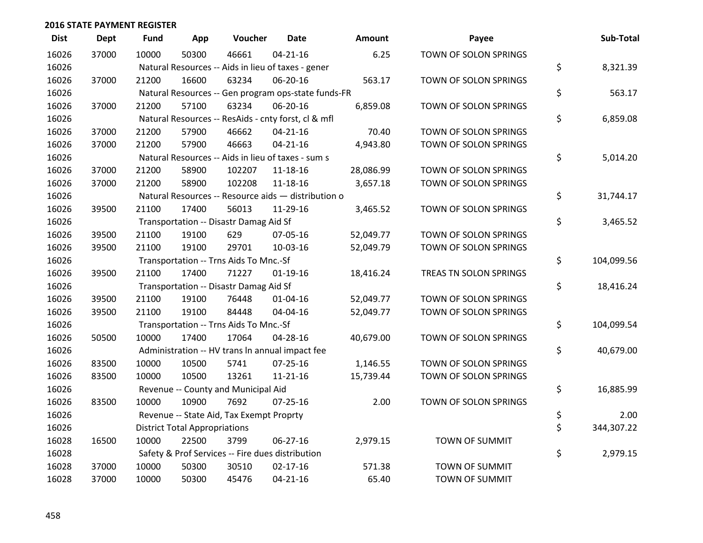| <b>Dist</b> | <b>Dept</b> | <b>Fund</b> | App                                  | Voucher                                  | <b>Date</b>                                         | Amount    | Payee                  | Sub-Total        |
|-------------|-------------|-------------|--------------------------------------|------------------------------------------|-----------------------------------------------------|-----------|------------------------|------------------|
| 16026       | 37000       | 10000       | 50300                                | 46661                                    | $04 - 21 - 16$                                      | 6.25      | TOWN OF SOLON SPRINGS  |                  |
| 16026       |             |             |                                      |                                          | Natural Resources -- Aids in lieu of taxes - gener  |           |                        | \$<br>8,321.39   |
| 16026       | 37000       | 21200       | 16600                                | 63234                                    | 06-20-16                                            | 563.17    | TOWN OF SOLON SPRINGS  |                  |
| 16026       |             |             |                                      |                                          | Natural Resources -- Gen program ops-state funds-FR |           |                        | \$<br>563.17     |
| 16026       | 37000       | 21200       | 57100                                | 63234                                    | 06-20-16                                            | 6,859.08  | TOWN OF SOLON SPRINGS  |                  |
| 16026       |             |             |                                      |                                          | Natural Resources -- ResAids - cnty forst, cl & mfl |           |                        | \$<br>6,859.08   |
| 16026       | 37000       | 21200       | 57900                                | 46662                                    | $04 - 21 - 16$                                      | 70.40     | TOWN OF SOLON SPRINGS  |                  |
| 16026       | 37000       | 21200       | 57900                                | 46663                                    | $04 - 21 - 16$                                      | 4,943.80  | TOWN OF SOLON SPRINGS  |                  |
| 16026       |             |             |                                      |                                          | Natural Resources -- Aids in lieu of taxes - sum s  |           |                        | \$<br>5,014.20   |
| 16026       | 37000       | 21200       | 58900                                | 102207                                   | 11-18-16                                            | 28,086.99 | TOWN OF SOLON SPRINGS  |                  |
| 16026       | 37000       | 21200       | 58900                                | 102208                                   | 11-18-16                                            | 3,657.18  | TOWN OF SOLON SPRINGS  |                  |
| 16026       |             |             |                                      |                                          | Natural Resources -- Resource aids - distribution o |           |                        | \$<br>31,744.17  |
| 16026       | 39500       | 21100       | 17400                                | 56013                                    | 11-29-16                                            | 3,465.52  | TOWN OF SOLON SPRINGS  |                  |
| 16026       |             |             |                                      | Transportation -- Disastr Damag Aid Sf   |                                                     |           |                        | \$<br>3,465.52   |
| 16026       | 39500       | 21100       | 19100                                | 629                                      | 07-05-16                                            | 52,049.77 | TOWN OF SOLON SPRINGS  |                  |
| 16026       | 39500       | 21100       | 19100                                | 29701                                    | 10-03-16                                            | 52,049.79 | TOWN OF SOLON SPRINGS  |                  |
| 16026       |             |             |                                      | Transportation -- Trns Aids To Mnc.-Sf   |                                                     |           |                        | \$<br>104,099.56 |
| 16026       | 39500       | 21100       | 17400                                | 71227                                    | $01-19-16$                                          | 18,416.24 | TREAS TN SOLON SPRINGS |                  |
| 16026       |             |             |                                      | Transportation -- Disastr Damag Aid Sf   |                                                     |           |                        | \$<br>18,416.24  |
| 16026       | 39500       | 21100       | 19100                                | 76448                                    | $01 - 04 - 16$                                      | 52,049.77 | TOWN OF SOLON SPRINGS  |                  |
| 16026       | 39500       | 21100       | 19100                                | 84448                                    | 04-04-16                                            | 52,049.77 | TOWN OF SOLON SPRINGS  |                  |
| 16026       |             |             |                                      | Transportation -- Trns Aids To Mnc.-Sf   |                                                     |           |                        | \$<br>104,099.54 |
| 16026       | 50500       | 10000       | 17400                                | 17064                                    | 04-28-16                                            | 40,679.00 | TOWN OF SOLON SPRINGS  |                  |
| 16026       |             |             |                                      |                                          | Administration -- HV trans In annual impact fee     |           |                        | \$<br>40,679.00  |
| 16026       | 83500       | 10000       | 10500                                | 5741                                     | $07 - 25 - 16$                                      | 1,146.55  | TOWN OF SOLON SPRINGS  |                  |
| 16026       | 83500       | 10000       | 10500                                | 13261                                    | $11 - 21 - 16$                                      | 15,739.44 | TOWN OF SOLON SPRINGS  |                  |
| 16026       |             |             |                                      | Revenue -- County and Municipal Aid      |                                                     |           |                        | \$<br>16,885.99  |
| 16026       | 83500       | 10000       | 10900                                | 7692                                     | $07 - 25 - 16$                                      | 2.00      | TOWN OF SOLON SPRINGS  |                  |
| 16026       |             |             |                                      | Revenue -- State Aid, Tax Exempt Proprty |                                                     |           |                        | \$<br>2.00       |
| 16026       |             |             | <b>District Total Appropriations</b> |                                          |                                                     |           |                        | \$<br>344,307.22 |
| 16028       | 16500       | 10000       | 22500                                | 3799                                     | 06-27-16                                            | 2,979.15  | TOWN OF SUMMIT         |                  |
| 16028       |             |             |                                      |                                          | Safety & Prof Services -- Fire dues distribution    |           |                        | \$<br>2,979.15   |
| 16028       | 37000       | 10000       | 50300                                | 30510                                    | $02 - 17 - 16$                                      | 571.38    | <b>TOWN OF SUMMIT</b>  |                  |
| 16028       | 37000       | 10000       | 50300                                | 45476                                    | $04 - 21 - 16$                                      | 65.40     | <b>TOWN OF SUMMIT</b>  |                  |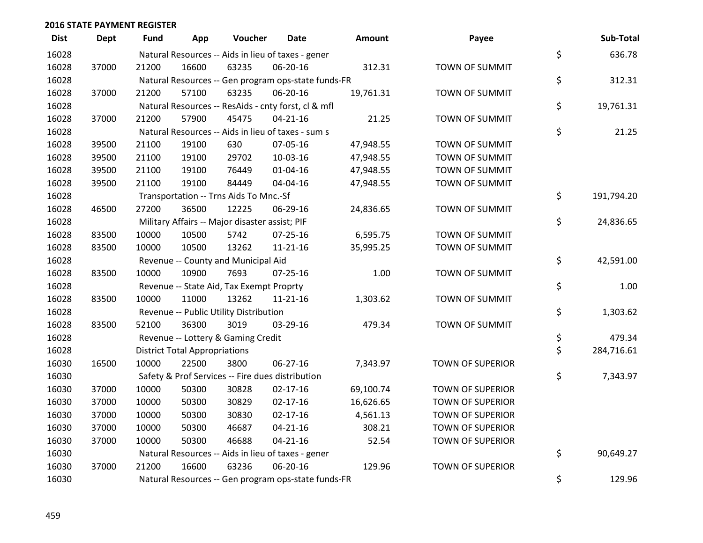| <b>Dist</b> | <b>Dept</b> | <b>Fund</b> | App                                  | Voucher                                        | <b>Date</b>                                         | Amount    | Payee                   | Sub-Total        |
|-------------|-------------|-------------|--------------------------------------|------------------------------------------------|-----------------------------------------------------|-----------|-------------------------|------------------|
| 16028       |             |             |                                      |                                                | Natural Resources -- Aids in lieu of taxes - gener  |           |                         | \$<br>636.78     |
| 16028       | 37000       | 21200       | 16600                                | 63235                                          | 06-20-16                                            | 312.31    | <b>TOWN OF SUMMIT</b>   |                  |
| 16028       |             |             |                                      |                                                | Natural Resources -- Gen program ops-state funds-FR |           |                         | \$<br>312.31     |
| 16028       | 37000       | 21200       | 57100                                | 63235                                          | 06-20-16                                            | 19,761.31 | <b>TOWN OF SUMMIT</b>   |                  |
| 16028       |             |             |                                      |                                                | Natural Resources -- ResAids - cnty forst, cl & mfl |           |                         | \$<br>19,761.31  |
| 16028       | 37000       | 21200       | 57900                                | 45475                                          | $04 - 21 - 16$                                      | 21.25     | TOWN OF SUMMIT          |                  |
| 16028       |             |             |                                      |                                                | Natural Resources -- Aids in lieu of taxes - sum s  |           |                         | \$<br>21.25      |
| 16028       | 39500       | 21100       | 19100                                | 630                                            | 07-05-16                                            | 47,948.55 | <b>TOWN OF SUMMIT</b>   |                  |
| 16028       | 39500       | 21100       | 19100                                | 29702                                          | 10-03-16                                            | 47,948.55 | TOWN OF SUMMIT          |                  |
| 16028       | 39500       | 21100       | 19100                                | 76449                                          | 01-04-16                                            | 47,948.55 | <b>TOWN OF SUMMIT</b>   |                  |
| 16028       | 39500       | 21100       | 19100                                | 84449                                          | 04-04-16                                            | 47,948.55 | <b>TOWN OF SUMMIT</b>   |                  |
| 16028       |             |             |                                      | Transportation -- Trns Aids To Mnc.-Sf         |                                                     |           |                         | \$<br>191,794.20 |
| 16028       | 46500       | 27200       | 36500                                | 12225                                          | 06-29-16                                            | 24,836.65 | <b>TOWN OF SUMMIT</b>   |                  |
| 16028       |             |             |                                      | Military Affairs -- Major disaster assist; PIF |                                                     |           |                         | \$<br>24,836.65  |
| 16028       | 83500       | 10000       | 10500                                | 5742                                           | 07-25-16                                            | 6,595.75  | TOWN OF SUMMIT          |                  |
| 16028       | 83500       | 10000       | 10500                                | 13262                                          | 11-21-16                                            | 35,995.25 | TOWN OF SUMMIT          |                  |
| 16028       |             |             |                                      | Revenue -- County and Municipal Aid            |                                                     |           |                         | \$<br>42,591.00  |
| 16028       | 83500       | 10000       | 10900                                | 7693                                           | $07 - 25 - 16$                                      | 1.00      | TOWN OF SUMMIT          |                  |
| 16028       |             |             |                                      | Revenue -- State Aid, Tax Exempt Proprty       |                                                     |           |                         | \$<br>1.00       |
| 16028       | 83500       | 10000       | 11000                                | 13262                                          | $11 - 21 - 16$                                      | 1,303.62  | <b>TOWN OF SUMMIT</b>   |                  |
| 16028       |             |             |                                      | Revenue -- Public Utility Distribution         |                                                     |           |                         | \$<br>1,303.62   |
| 16028       | 83500       | 52100       | 36300                                | 3019                                           | 03-29-16                                            | 479.34    | TOWN OF SUMMIT          |                  |
| 16028       |             |             |                                      | Revenue -- Lottery & Gaming Credit             |                                                     |           |                         | \$<br>479.34     |
| 16028       |             |             | <b>District Total Appropriations</b> |                                                |                                                     |           |                         | \$<br>284,716.61 |
| 16030       | 16500       | 10000       | 22500                                | 3800                                           | 06-27-16                                            | 7,343.97  | <b>TOWN OF SUPERIOR</b> |                  |
| 16030       |             |             |                                      |                                                | Safety & Prof Services -- Fire dues distribution    |           |                         | \$<br>7,343.97   |
| 16030       | 37000       | 10000       | 50300                                | 30828                                          | $02 - 17 - 16$                                      | 69,100.74 | <b>TOWN OF SUPERIOR</b> |                  |
| 16030       | 37000       | 10000       | 50300                                | 30829                                          | $02 - 17 - 16$                                      | 16,626.65 | <b>TOWN OF SUPERIOR</b> |                  |
| 16030       | 37000       | 10000       | 50300                                | 30830                                          | $02 - 17 - 16$                                      | 4,561.13  | <b>TOWN OF SUPERIOR</b> |                  |
| 16030       | 37000       | 10000       | 50300                                | 46687                                          | $04 - 21 - 16$                                      | 308.21    | <b>TOWN OF SUPERIOR</b> |                  |
| 16030       | 37000       | 10000       | 50300                                | 46688                                          | $04 - 21 - 16$                                      | 52.54     | <b>TOWN OF SUPERIOR</b> |                  |
| 16030       |             |             |                                      |                                                | Natural Resources -- Aids in lieu of taxes - gener  |           |                         | \$<br>90,649.27  |
| 16030       | 37000       | 21200       | 16600                                | 63236                                          | 06-20-16                                            | 129.96    | <b>TOWN OF SUPERIOR</b> |                  |
| 16030       |             |             |                                      |                                                | Natural Resources -- Gen program ops-state funds-FR |           |                         | \$<br>129.96     |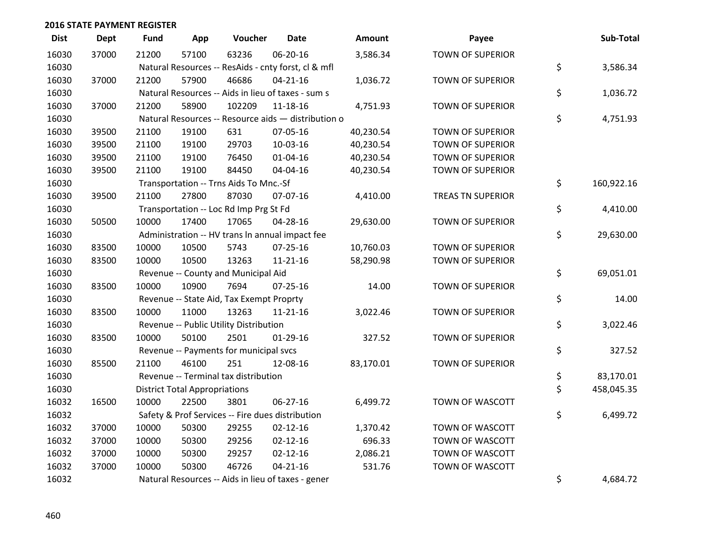| <b>Dist</b> | <b>Dept</b> | <b>Fund</b> | App                                  | Voucher                                  | <b>Date</b>                                         | Amount    | Payee                    | Sub-Total        |
|-------------|-------------|-------------|--------------------------------------|------------------------------------------|-----------------------------------------------------|-----------|--------------------------|------------------|
| 16030       | 37000       | 21200       | 57100                                | 63236                                    | 06-20-16                                            | 3,586.34  | <b>TOWN OF SUPERIOR</b>  |                  |
| 16030       |             |             |                                      |                                          | Natural Resources -- ResAids - cnty forst, cl & mfl |           |                          | \$<br>3,586.34   |
| 16030       | 37000       | 21200       | 57900                                | 46686                                    | $04 - 21 - 16$                                      | 1,036.72  | <b>TOWN OF SUPERIOR</b>  |                  |
| 16030       |             |             |                                      |                                          | Natural Resources -- Aids in lieu of taxes - sum s  |           |                          | \$<br>1,036.72   |
| 16030       | 37000       | 21200       | 58900                                | 102209                                   | 11-18-16                                            | 4,751.93  | <b>TOWN OF SUPERIOR</b>  |                  |
| 16030       |             |             |                                      |                                          | Natural Resources -- Resource aids - distribution o |           |                          | \$<br>4,751.93   |
| 16030       | 39500       | 21100       | 19100                                | 631                                      | 07-05-16                                            | 40,230.54 | <b>TOWN OF SUPERIOR</b>  |                  |
| 16030       | 39500       | 21100       | 19100                                | 29703                                    | 10-03-16                                            | 40,230.54 | <b>TOWN OF SUPERIOR</b>  |                  |
| 16030       | 39500       | 21100       | 19100                                | 76450                                    | $01 - 04 - 16$                                      | 40,230.54 | <b>TOWN OF SUPERIOR</b>  |                  |
| 16030       | 39500       | 21100       | 19100                                | 84450                                    | 04-04-16                                            | 40,230.54 | <b>TOWN OF SUPERIOR</b>  |                  |
| 16030       |             |             |                                      | Transportation -- Trns Aids To Mnc.-Sf   |                                                     |           |                          | \$<br>160,922.16 |
| 16030       | 39500       | 21100       | 27800                                | 87030                                    | 07-07-16                                            | 4,410.00  | <b>TREAS TN SUPERIOR</b> |                  |
| 16030       |             |             |                                      | Transportation -- Loc Rd Imp Prg St Fd   |                                                     |           |                          | \$<br>4,410.00   |
| 16030       | 50500       | 10000       | 17400                                | 17065                                    | 04-28-16                                            | 29,630.00 | <b>TOWN OF SUPERIOR</b>  |                  |
| 16030       |             |             |                                      |                                          | Administration -- HV trans In annual impact fee     |           |                          | \$<br>29,630.00  |
| 16030       | 83500       | 10000       | 10500                                | 5743                                     | 07-25-16                                            | 10,760.03 | <b>TOWN OF SUPERIOR</b>  |                  |
| 16030       | 83500       | 10000       | 10500                                | 13263                                    | 11-21-16                                            | 58,290.98 | <b>TOWN OF SUPERIOR</b>  |                  |
| 16030       |             |             |                                      | Revenue -- County and Municipal Aid      |                                                     |           |                          | \$<br>69,051.01  |
| 16030       | 83500       | 10000       | 10900                                | 7694                                     | $07 - 25 - 16$                                      | 14.00     | <b>TOWN OF SUPERIOR</b>  |                  |
| 16030       |             |             |                                      | Revenue -- State Aid, Tax Exempt Proprty |                                                     |           |                          | \$<br>14.00      |
| 16030       | 83500       | 10000       | 11000                                | 13263                                    | $11 - 21 - 16$                                      | 3,022.46  | <b>TOWN OF SUPERIOR</b>  |                  |
| 16030       |             |             |                                      | Revenue -- Public Utility Distribution   |                                                     |           |                          | \$<br>3,022.46   |
| 16030       | 83500       | 10000       | 50100                                | 2501                                     | $01-29-16$                                          | 327.52    | <b>TOWN OF SUPERIOR</b>  |                  |
| 16030       |             |             |                                      | Revenue -- Payments for municipal svcs   |                                                     |           |                          | \$<br>327.52     |
| 16030       | 85500       | 21100       | 46100                                | 251                                      | 12-08-16                                            | 83,170.01 | <b>TOWN OF SUPERIOR</b>  |                  |
| 16030       |             |             |                                      | Revenue -- Terminal tax distribution     |                                                     |           |                          | \$<br>83,170.01  |
| 16030       |             |             | <b>District Total Appropriations</b> |                                          |                                                     |           |                          | \$<br>458,045.35 |
| 16032       | 16500       | 10000       | 22500                                | 3801                                     | $06 - 27 - 16$                                      | 6,499.72  | TOWN OF WASCOTT          |                  |
| 16032       |             |             |                                      |                                          | Safety & Prof Services -- Fire dues distribution    |           |                          | \$<br>6,499.72   |
| 16032       | 37000       | 10000       | 50300                                | 29255                                    | $02 - 12 - 16$                                      | 1,370.42  | TOWN OF WASCOTT          |                  |
| 16032       | 37000       | 10000       | 50300                                | 29256                                    | $02 - 12 - 16$                                      | 696.33    | TOWN OF WASCOTT          |                  |
| 16032       | 37000       | 10000       | 50300                                | 29257                                    | $02 - 12 - 16$                                      | 2,086.21  | TOWN OF WASCOTT          |                  |
| 16032       | 37000       | 10000       | 50300                                | 46726                                    | $04 - 21 - 16$                                      | 531.76    | TOWN OF WASCOTT          |                  |
| 16032       |             |             |                                      |                                          | Natural Resources -- Aids in lieu of taxes - gener  |           |                          | \$<br>4,684.72   |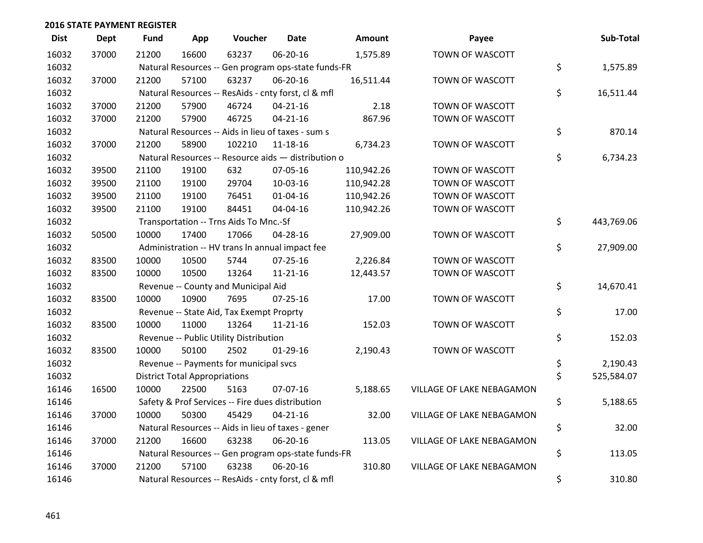| <b>Dist</b> | <b>Dept</b> | Fund  | App                                  | Voucher                                             | <b>Date</b>    | <b>Amount</b> | Payee                     | Sub-Total        |
|-------------|-------------|-------|--------------------------------------|-----------------------------------------------------|----------------|---------------|---------------------------|------------------|
| 16032       | 37000       | 21200 | 16600                                | 63237                                               | 06-20-16       | 1,575.89      | TOWN OF WASCOTT           |                  |
| 16032       |             |       |                                      | Natural Resources -- Gen program ops-state funds-FR |                |               |                           | \$<br>1,575.89   |
| 16032       | 37000       | 21200 | 57100                                | 63237                                               | 06-20-16       | 16,511.44     | TOWN OF WASCOTT           |                  |
| 16032       |             |       |                                      | Natural Resources -- ResAids - cnty forst, cl & mfl |                |               |                           | \$<br>16,511.44  |
| 16032       | 37000       | 21200 | 57900                                | 46724                                               | $04 - 21 - 16$ | 2.18          | TOWN OF WASCOTT           |                  |
| 16032       | 37000       | 21200 | 57900                                | 46725                                               | $04 - 21 - 16$ | 867.96        | TOWN OF WASCOTT           |                  |
| 16032       |             |       |                                      | Natural Resources -- Aids in lieu of taxes - sum s  |                |               |                           | \$<br>870.14     |
| 16032       | 37000       | 21200 | 58900                                | 102210                                              | 11-18-16       | 6,734.23      | TOWN OF WASCOTT           |                  |
| 16032       |             |       |                                      | Natural Resources -- Resource aids - distribution o |                |               |                           | \$<br>6,734.23   |
| 16032       | 39500       | 21100 | 19100                                | 632                                                 | 07-05-16       | 110,942.26    | TOWN OF WASCOTT           |                  |
| 16032       | 39500       | 21100 | 19100                                | 29704                                               | 10-03-16       | 110,942.28    | TOWN OF WASCOTT           |                  |
| 16032       | 39500       | 21100 | 19100                                | 76451                                               | $01 - 04 - 16$ | 110,942.26    | TOWN OF WASCOTT           |                  |
| 16032       | 39500       | 21100 | 19100                                | 84451                                               | 04-04-16       | 110,942.26    | TOWN OF WASCOTT           |                  |
| 16032       |             |       |                                      | Transportation -- Trns Aids To Mnc.-Sf              |                |               |                           | \$<br>443,769.06 |
| 16032       | 50500       | 10000 | 17400                                | 17066                                               | 04-28-16       | 27,909.00     | TOWN OF WASCOTT           |                  |
| 16032       |             |       |                                      | Administration -- HV trans In annual impact fee     |                |               |                           | \$<br>27,909.00  |
| 16032       | 83500       | 10000 | 10500                                | 5744                                                | $07 - 25 - 16$ | 2,226.84      | TOWN OF WASCOTT           |                  |
| 16032       | 83500       | 10000 | 10500                                | 13264                                               | $11 - 21 - 16$ | 12,443.57     | TOWN OF WASCOTT           |                  |
| 16032       |             |       |                                      | Revenue -- County and Municipal Aid                 |                |               |                           | \$<br>14,670.41  |
| 16032       | 83500       | 10000 | 10900                                | 7695                                                | $07 - 25 - 16$ | 17.00         | TOWN OF WASCOTT           |                  |
| 16032       |             |       |                                      | Revenue -- State Aid, Tax Exempt Proprty            |                |               |                           | \$<br>17.00      |
| 16032       | 83500       | 10000 | 11000                                | 13264                                               | $11 - 21 - 16$ | 152.03        | TOWN OF WASCOTT           |                  |
| 16032       |             |       |                                      | Revenue -- Public Utility Distribution              |                |               |                           | \$<br>152.03     |
| 16032       | 83500       | 10000 | 50100                                | 2502                                                | $01-29-16$     | 2,190.43      | TOWN OF WASCOTT           |                  |
| 16032       |             |       |                                      | Revenue -- Payments for municipal svcs              |                |               |                           | \$<br>2,190.43   |
| 16032       |             |       | <b>District Total Appropriations</b> |                                                     |                |               |                           | \$<br>525,584.07 |
| 16146       | 16500       | 10000 | 22500                                | 5163                                                | 07-07-16       | 5,188.65      | VILLAGE OF LAKE NEBAGAMON |                  |
| 16146       |             |       |                                      | Safety & Prof Services -- Fire dues distribution    |                |               |                           | \$<br>5,188.65   |
| 16146       | 37000       | 10000 | 50300                                | 45429                                               | $04 - 21 - 16$ | 32.00         | VILLAGE OF LAKE NEBAGAMON |                  |
| 16146       |             |       |                                      | Natural Resources -- Aids in lieu of taxes - gener  |                |               |                           | \$<br>32.00      |
| 16146       | 37000       | 21200 | 16600                                | 63238                                               | 06-20-16       | 113.05        | VILLAGE OF LAKE NEBAGAMON |                  |
| 16146       |             |       |                                      | Natural Resources -- Gen program ops-state funds-FR |                |               |                           | \$<br>113.05     |
| 16146       | 37000       | 21200 | 57100                                | 63238                                               | 06-20-16       | 310.80        | VILLAGE OF LAKE NEBAGAMON |                  |
| 16146       |             |       |                                      | Natural Resources -- ResAids - cnty forst, cl & mfl |                |               |                           | \$<br>310.80     |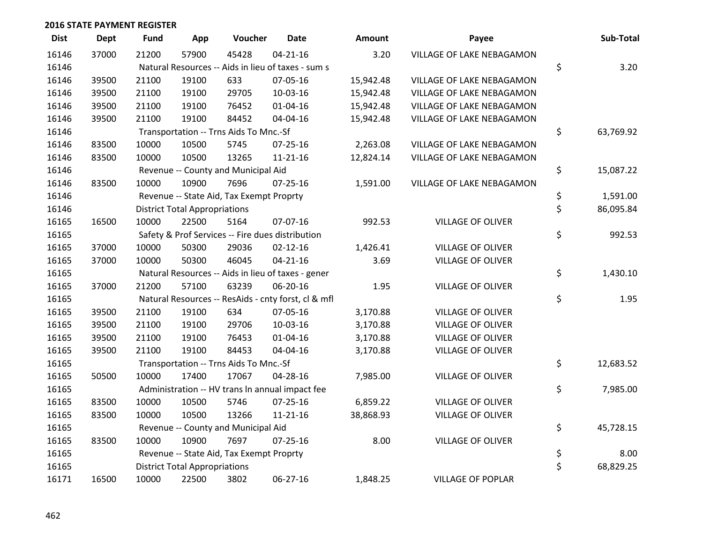| <b>Dist</b> | <b>Dept</b> | Fund  | App                                  | Voucher                                  | <b>Date</b>                                         | Amount    | Payee                     | Sub-Total       |
|-------------|-------------|-------|--------------------------------------|------------------------------------------|-----------------------------------------------------|-----------|---------------------------|-----------------|
| 16146       | 37000       | 21200 | 57900                                | 45428                                    | $04 - 21 - 16$                                      | 3.20      | VILLAGE OF LAKE NEBAGAMON |                 |
| 16146       |             |       |                                      |                                          | Natural Resources -- Aids in lieu of taxes - sum s  |           |                           | \$<br>3.20      |
| 16146       | 39500       | 21100 | 19100                                | 633                                      | 07-05-16                                            | 15,942.48 | VILLAGE OF LAKE NEBAGAMON |                 |
| 16146       | 39500       | 21100 | 19100                                | 29705                                    | 10-03-16                                            | 15,942.48 | VILLAGE OF LAKE NEBAGAMON |                 |
| 16146       | 39500       | 21100 | 19100                                | 76452                                    | $01 - 04 - 16$                                      | 15,942.48 | VILLAGE OF LAKE NEBAGAMON |                 |
| 16146       | 39500       | 21100 | 19100                                | 84452                                    | 04-04-16                                            | 15,942.48 | VILLAGE OF LAKE NEBAGAMON |                 |
| 16146       |             |       |                                      | Transportation -- Trns Aids To Mnc.-Sf   |                                                     |           |                           | \$<br>63,769.92 |
| 16146       | 83500       | 10000 | 10500                                | 5745                                     | $07 - 25 - 16$                                      | 2,263.08  | VILLAGE OF LAKE NEBAGAMON |                 |
| 16146       | 83500       | 10000 | 10500                                | 13265                                    | $11 - 21 - 16$                                      | 12,824.14 | VILLAGE OF LAKE NEBAGAMON |                 |
| 16146       |             |       |                                      | Revenue -- County and Municipal Aid      |                                                     |           |                           | \$<br>15,087.22 |
| 16146       | 83500       | 10000 | 10900                                | 7696                                     | $07 - 25 - 16$                                      | 1,591.00  | VILLAGE OF LAKE NEBAGAMON |                 |
| 16146       |             |       |                                      | Revenue -- State Aid, Tax Exempt Proprty |                                                     |           |                           | \$<br>1,591.00  |
| 16146       |             |       | <b>District Total Appropriations</b> |                                          |                                                     |           |                           | \$<br>86,095.84 |
| 16165       | 16500       | 10000 | 22500                                | 5164                                     | 07-07-16                                            | 992.53    | <b>VILLAGE OF OLIVER</b>  |                 |
| 16165       |             |       |                                      |                                          | Safety & Prof Services -- Fire dues distribution    |           |                           | \$<br>992.53    |
| 16165       | 37000       | 10000 | 50300                                | 29036                                    | $02 - 12 - 16$                                      | 1,426.41  | <b>VILLAGE OF OLIVER</b>  |                 |
| 16165       | 37000       | 10000 | 50300                                | 46045                                    | $04 - 21 - 16$                                      | 3.69      | <b>VILLAGE OF OLIVER</b>  |                 |
| 16165       |             |       |                                      |                                          | Natural Resources -- Aids in lieu of taxes - gener  |           |                           | \$<br>1,430.10  |
| 16165       | 37000       | 21200 | 57100                                | 63239                                    | 06-20-16                                            | 1.95      | <b>VILLAGE OF OLIVER</b>  |                 |
| 16165       |             |       |                                      |                                          | Natural Resources -- ResAids - cnty forst, cl & mfl |           |                           | \$<br>1.95      |
| 16165       | 39500       | 21100 | 19100                                | 634                                      | 07-05-16                                            | 3,170.88  | <b>VILLAGE OF OLIVER</b>  |                 |
| 16165       | 39500       | 21100 | 19100                                | 29706                                    | 10-03-16                                            | 3,170.88  | <b>VILLAGE OF OLIVER</b>  |                 |
| 16165       | 39500       | 21100 | 19100                                | 76453                                    | $01 - 04 - 16$                                      | 3,170.88  | <b>VILLAGE OF OLIVER</b>  |                 |
| 16165       | 39500       | 21100 | 19100                                | 84453                                    | 04-04-16                                            | 3,170.88  | <b>VILLAGE OF OLIVER</b>  |                 |
| 16165       |             |       |                                      | Transportation -- Trns Aids To Mnc.-Sf   |                                                     |           |                           | \$<br>12,683.52 |
| 16165       | 50500       | 10000 | 17400                                | 17067                                    | 04-28-16                                            | 7,985.00  | <b>VILLAGE OF OLIVER</b>  |                 |
| 16165       |             |       |                                      |                                          | Administration -- HV trans In annual impact fee     |           |                           | \$<br>7,985.00  |
| 16165       | 83500       | 10000 | 10500                                | 5746                                     | $07 - 25 - 16$                                      | 6,859.22  | <b>VILLAGE OF OLIVER</b>  |                 |
| 16165       | 83500       | 10000 | 10500                                | 13266                                    | $11 - 21 - 16$                                      | 38,868.93 | <b>VILLAGE OF OLIVER</b>  |                 |
| 16165       |             |       |                                      | Revenue -- County and Municipal Aid      |                                                     |           |                           | \$<br>45,728.15 |
| 16165       | 83500       | 10000 | 10900                                | 7697                                     | $07 - 25 - 16$                                      | 8.00      | <b>VILLAGE OF OLIVER</b>  |                 |
| 16165       |             |       |                                      | Revenue -- State Aid, Tax Exempt Proprty |                                                     |           |                           | \$<br>8.00      |
| 16165       |             |       | <b>District Total Appropriations</b> |                                          |                                                     |           |                           | \$<br>68,829.25 |
| 16171       | 16500       | 10000 | 22500                                | 3802                                     | 06-27-16                                            | 1,848.25  | <b>VILLAGE OF POPLAR</b>  |                 |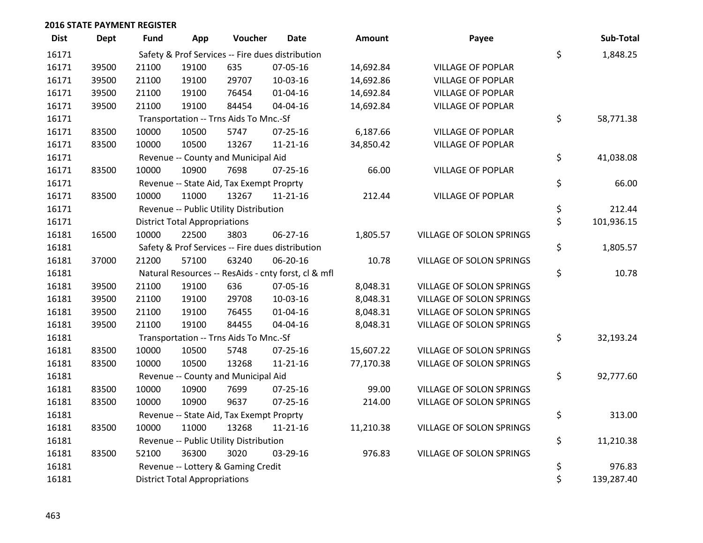| <b>Dist</b> | <b>Dept</b> | <b>Fund</b> | App                                  | Voucher                                  | <b>Date</b>                                         | <b>Amount</b> | Payee                    | Sub-Total        |
|-------------|-------------|-------------|--------------------------------------|------------------------------------------|-----------------------------------------------------|---------------|--------------------------|------------------|
| 16171       |             |             |                                      |                                          | Safety & Prof Services -- Fire dues distribution    |               |                          | \$<br>1,848.25   |
| 16171       | 39500       | 21100       | 19100                                | 635                                      | 07-05-16                                            | 14,692.84     | <b>VILLAGE OF POPLAR</b> |                  |
| 16171       | 39500       | 21100       | 19100                                | 29707                                    | 10-03-16                                            | 14,692.86     | <b>VILLAGE OF POPLAR</b> |                  |
| 16171       | 39500       | 21100       | 19100                                | 76454                                    | $01 - 04 - 16$                                      | 14,692.84     | <b>VILLAGE OF POPLAR</b> |                  |
| 16171       | 39500       | 21100       | 19100                                | 84454                                    | 04-04-16                                            | 14,692.84     | <b>VILLAGE OF POPLAR</b> |                  |
| 16171       |             |             |                                      | Transportation -- Trns Aids To Mnc.-Sf   |                                                     |               |                          | \$<br>58,771.38  |
| 16171       | 83500       | 10000       | 10500                                | 5747                                     | $07 - 25 - 16$                                      | 6,187.66      | <b>VILLAGE OF POPLAR</b> |                  |
| 16171       | 83500       | 10000       | 10500                                | 13267                                    | $11 - 21 - 16$                                      | 34,850.42     | <b>VILLAGE OF POPLAR</b> |                  |
| 16171       |             |             |                                      | Revenue -- County and Municipal Aid      |                                                     |               |                          | \$<br>41,038.08  |
| 16171       | 83500       | 10000       | 10900                                | 7698                                     | $07 - 25 - 16$                                      | 66.00         | <b>VILLAGE OF POPLAR</b> |                  |
| 16171       |             |             |                                      | Revenue -- State Aid, Tax Exempt Proprty |                                                     |               |                          | \$<br>66.00      |
| 16171       | 83500       | 10000       | 11000                                | 13267                                    | $11 - 21 - 16$                                      | 212.44        | <b>VILLAGE OF POPLAR</b> |                  |
| 16171       |             |             |                                      | Revenue -- Public Utility Distribution   |                                                     |               |                          | \$<br>212.44     |
| 16171       |             |             | <b>District Total Appropriations</b> |                                          |                                                     |               |                          | \$<br>101,936.15 |
| 16181       | 16500       | 10000       | 22500                                | 3803                                     | 06-27-16                                            | 1,805.57      | VILLAGE OF SOLON SPRINGS |                  |
| 16181       |             |             |                                      |                                          | Safety & Prof Services -- Fire dues distribution    |               |                          | \$<br>1,805.57   |
| 16181       | 37000       | 21200       | 57100                                | 63240                                    | 06-20-16                                            | 10.78         | VILLAGE OF SOLON SPRINGS |                  |
| 16181       |             |             |                                      |                                          | Natural Resources -- ResAids - cnty forst, cl & mfl |               |                          | \$<br>10.78      |
| 16181       | 39500       | 21100       | 19100                                | 636                                      | 07-05-16                                            | 8,048.31      | VILLAGE OF SOLON SPRINGS |                  |
| 16181       | 39500       | 21100       | 19100                                | 29708                                    | 10-03-16                                            | 8,048.31      | VILLAGE OF SOLON SPRINGS |                  |
| 16181       | 39500       | 21100       | 19100                                | 76455                                    | $01 - 04 - 16$                                      | 8,048.31      | VILLAGE OF SOLON SPRINGS |                  |
| 16181       | 39500       | 21100       | 19100                                | 84455                                    | 04-04-16                                            | 8,048.31      | VILLAGE OF SOLON SPRINGS |                  |
| 16181       |             |             |                                      | Transportation -- Trns Aids To Mnc.-Sf   |                                                     |               |                          | \$<br>32,193.24  |
| 16181       | 83500       | 10000       | 10500                                | 5748                                     | $07 - 25 - 16$                                      | 15,607.22     | VILLAGE OF SOLON SPRINGS |                  |
| 16181       | 83500       | 10000       | 10500                                | 13268                                    | $11 - 21 - 16$                                      | 77,170.38     | VILLAGE OF SOLON SPRINGS |                  |
| 16181       |             |             |                                      | Revenue -- County and Municipal Aid      |                                                     |               |                          | \$<br>92,777.60  |
| 16181       | 83500       | 10000       | 10900                                | 7699                                     | $07 - 25 - 16$                                      | 99.00         | VILLAGE OF SOLON SPRINGS |                  |
| 16181       | 83500       | 10000       | 10900                                | 9637                                     | $07 - 25 - 16$                                      | 214.00        | VILLAGE OF SOLON SPRINGS |                  |
| 16181       |             |             |                                      | Revenue -- State Aid, Tax Exempt Proprty |                                                     |               |                          | \$<br>313.00     |
| 16181       | 83500       | 10000       | 11000                                | 13268                                    | $11 - 21 - 16$                                      | 11,210.38     | VILLAGE OF SOLON SPRINGS |                  |
| 16181       |             |             |                                      | Revenue -- Public Utility Distribution   |                                                     |               |                          | \$<br>11,210.38  |
| 16181       | 83500       | 52100       | 36300                                | 3020                                     | 03-29-16                                            | 976.83        | VILLAGE OF SOLON SPRINGS |                  |
| 16181       |             |             |                                      | Revenue -- Lottery & Gaming Credit       |                                                     |               |                          | \$<br>976.83     |
| 16181       |             |             | <b>District Total Appropriations</b> |                                          |                                                     |               |                          | \$<br>139,287.40 |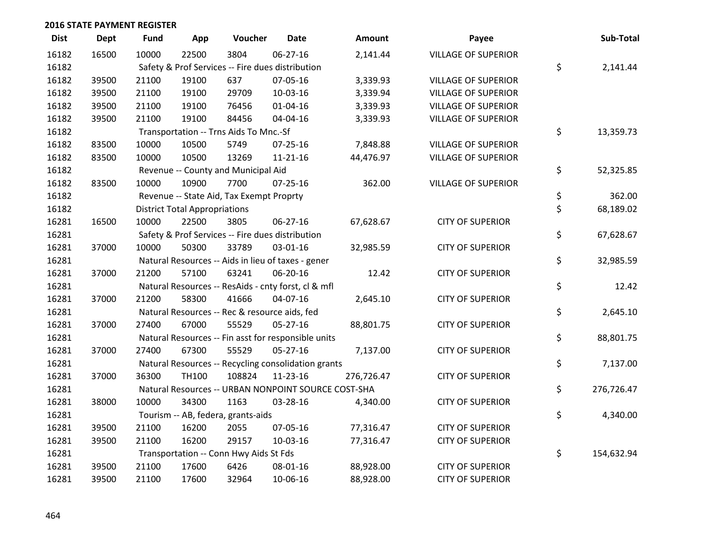| <b>Dist</b> | <b>Dept</b> | Fund  | App                                  | Voucher                                          | <b>Date</b>                                         | <b>Amount</b> | Payee                      | Sub-Total        |
|-------------|-------------|-------|--------------------------------------|--------------------------------------------------|-----------------------------------------------------|---------------|----------------------------|------------------|
| 16182       | 16500       | 10000 | 22500                                | 3804                                             | 06-27-16                                            | 2,141.44      | <b>VILLAGE OF SUPERIOR</b> |                  |
| 16182       |             |       |                                      | Safety & Prof Services -- Fire dues distribution |                                                     |               |                            | \$<br>2,141.44   |
| 16182       | 39500       | 21100 | 19100                                | 637                                              | 07-05-16                                            | 3,339.93      | <b>VILLAGE OF SUPERIOR</b> |                  |
| 16182       | 39500       | 21100 | 19100                                | 29709                                            | 10-03-16                                            | 3,339.94      | <b>VILLAGE OF SUPERIOR</b> |                  |
| 16182       | 39500       | 21100 | 19100                                | 76456                                            | $01 - 04 - 16$                                      | 3,339.93      | <b>VILLAGE OF SUPERIOR</b> |                  |
| 16182       | 39500       | 21100 | 19100                                | 84456                                            | 04-04-16                                            | 3,339.93      | <b>VILLAGE OF SUPERIOR</b> |                  |
| 16182       |             |       |                                      | Transportation -- Trns Aids To Mnc.-Sf           |                                                     |               |                            | \$<br>13,359.73  |
| 16182       | 83500       | 10000 | 10500                                | 5749                                             | $07 - 25 - 16$                                      | 7,848.88      | <b>VILLAGE OF SUPERIOR</b> |                  |
| 16182       | 83500       | 10000 | 10500                                | 13269                                            | $11 - 21 - 16$                                      | 44,476.97     | <b>VILLAGE OF SUPERIOR</b> |                  |
| 16182       |             |       |                                      | Revenue -- County and Municipal Aid              |                                                     |               |                            | \$<br>52,325.85  |
| 16182       | 83500       | 10000 | 10900                                | 7700                                             | $07 - 25 - 16$                                      | 362.00        | <b>VILLAGE OF SUPERIOR</b> |                  |
| 16182       |             |       |                                      | Revenue -- State Aid, Tax Exempt Proprty         |                                                     |               |                            | \$<br>362.00     |
| 16182       |             |       | <b>District Total Appropriations</b> |                                                  |                                                     |               |                            | \$<br>68,189.02  |
| 16281       | 16500       | 10000 | 22500                                | 3805                                             | 06-27-16                                            | 67,628.67     | <b>CITY OF SUPERIOR</b>    |                  |
| 16281       |             |       |                                      | Safety & Prof Services -- Fire dues distribution |                                                     |               |                            | \$<br>67,628.67  |
| 16281       | 37000       | 10000 | 50300                                | 33789                                            | 03-01-16                                            | 32,985.59     | <b>CITY OF SUPERIOR</b>    |                  |
| 16281       |             |       |                                      |                                                  | Natural Resources -- Aids in lieu of taxes - gener  |               |                            | \$<br>32,985.59  |
| 16281       | 37000       | 21200 | 57100                                | 63241                                            | 06-20-16                                            | 12.42         | <b>CITY OF SUPERIOR</b>    |                  |
| 16281       |             |       |                                      |                                                  | Natural Resources -- ResAids - cnty forst, cl & mfl |               |                            | \$<br>12.42      |
| 16281       | 37000       | 21200 | 58300                                | 41666                                            | 04-07-16                                            | 2,645.10      | <b>CITY OF SUPERIOR</b>    |                  |
| 16281       |             |       |                                      | Natural Resources -- Rec & resource aids, fed    |                                                     |               |                            | \$<br>2,645.10   |
| 16281       | 37000       | 27400 | 67000                                | 55529                                            | 05-27-16                                            | 88,801.75     | <b>CITY OF SUPERIOR</b>    |                  |
| 16281       |             |       |                                      |                                                  | Natural Resources -- Fin asst for responsible units |               |                            | \$<br>88,801.75  |
| 16281       | 37000       | 27400 | 67300                                | 55529                                            | $05 - 27 - 16$                                      | 7,137.00      | <b>CITY OF SUPERIOR</b>    |                  |
| 16281       |             |       |                                      |                                                  | Natural Resources -- Recycling consolidation grants |               |                            | \$<br>7,137.00   |
| 16281       | 37000       | 36300 | TH100                                | 108824                                           | $11 - 23 - 16$                                      | 276,726.47    | <b>CITY OF SUPERIOR</b>    |                  |
| 16281       |             |       |                                      |                                                  | Natural Resources -- URBAN NONPOINT SOURCE COST-SHA |               |                            | \$<br>276,726.47 |
| 16281       | 38000       | 10000 | 34300                                | 1163                                             | 03-28-16                                            | 4,340.00      | <b>CITY OF SUPERIOR</b>    |                  |
| 16281       |             |       |                                      | Tourism -- AB, federa, grants-aids               |                                                     |               |                            | \$<br>4,340.00   |
| 16281       | 39500       | 21100 | 16200                                | 2055                                             | 07-05-16                                            | 77,316.47     | <b>CITY OF SUPERIOR</b>    |                  |
| 16281       | 39500       | 21100 | 16200                                | 29157                                            | 10-03-16                                            | 77,316.47     | <b>CITY OF SUPERIOR</b>    |                  |
| 16281       |             |       |                                      | Transportation -- Conn Hwy Aids St Fds           |                                                     |               |                            | \$<br>154,632.94 |
| 16281       | 39500       | 21100 | 17600                                | 6426                                             | 08-01-16                                            | 88,928.00     | <b>CITY OF SUPERIOR</b>    |                  |
| 16281       | 39500       | 21100 | 17600                                | 32964                                            | 10-06-16                                            | 88,928.00     | <b>CITY OF SUPERIOR</b>    |                  |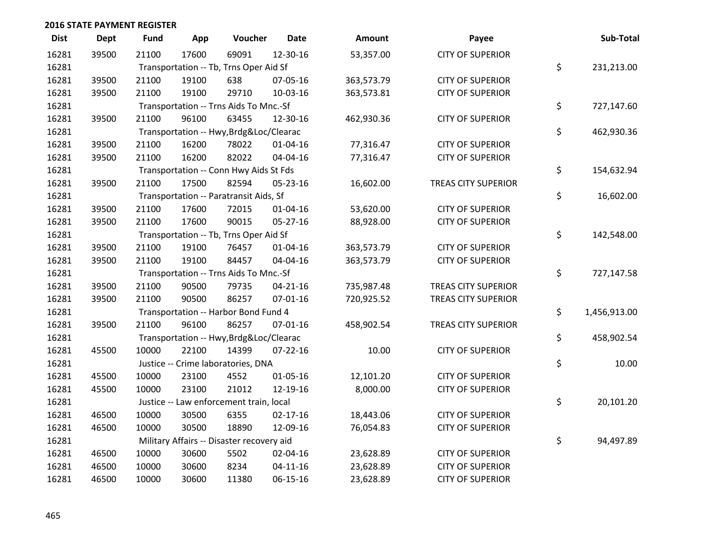| <b>Dist</b> | <b>Dept</b> | Fund  | App   | Voucher                                   | <b>Date</b>    | Amount     | Payee                      | Sub-Total          |
|-------------|-------------|-------|-------|-------------------------------------------|----------------|------------|----------------------------|--------------------|
| 16281       | 39500       | 21100 | 17600 | 69091                                     | 12-30-16       | 53,357.00  | <b>CITY OF SUPERIOR</b>    |                    |
| 16281       |             |       |       | Transportation -- Tb, Trns Oper Aid Sf    |                |            |                            | \$<br>231,213.00   |
| 16281       | 39500       | 21100 | 19100 | 638                                       | 07-05-16       | 363,573.79 | <b>CITY OF SUPERIOR</b>    |                    |
| 16281       | 39500       | 21100 | 19100 | 29710                                     | 10-03-16       | 363,573.81 | <b>CITY OF SUPERIOR</b>    |                    |
| 16281       |             |       |       | Transportation -- Trns Aids To Mnc.-Sf    |                |            |                            | \$<br>727,147.60   |
| 16281       | 39500       | 21100 | 96100 | 63455                                     | 12-30-16       | 462,930.36 | <b>CITY OF SUPERIOR</b>    |                    |
| 16281       |             |       |       | Transportation -- Hwy, Brdg&Loc/Clearac   |                |            |                            | \$<br>462,930.36   |
| 16281       | 39500       | 21100 | 16200 | 78022                                     | $01 - 04 - 16$ | 77,316.47  | <b>CITY OF SUPERIOR</b>    |                    |
| 16281       | 39500       | 21100 | 16200 | 82022                                     | 04-04-16       | 77,316.47  | <b>CITY OF SUPERIOR</b>    |                    |
| 16281       |             |       |       | Transportation -- Conn Hwy Aids St Fds    |                |            |                            | \$<br>154,632.94   |
| 16281       | 39500       | 21100 | 17500 | 82594                                     | 05-23-16       | 16,602.00  | <b>TREAS CITY SUPERIOR</b> |                    |
| 16281       |             |       |       | Transportation -- Paratransit Aids, Sf    |                |            |                            | \$<br>16,602.00    |
| 16281       | 39500       | 21100 | 17600 | 72015                                     | $01 - 04 - 16$ | 53,620.00  | <b>CITY OF SUPERIOR</b>    |                    |
| 16281       | 39500       | 21100 | 17600 | 90015                                     | 05-27-16       | 88,928.00  | <b>CITY OF SUPERIOR</b>    |                    |
| 16281       |             |       |       | Transportation -- Tb, Trns Oper Aid Sf    |                |            |                            | \$<br>142,548.00   |
| 16281       | 39500       | 21100 | 19100 | 76457                                     | $01 - 04 - 16$ | 363,573.79 | <b>CITY OF SUPERIOR</b>    |                    |
| 16281       | 39500       | 21100 | 19100 | 84457                                     | 04-04-16       | 363,573.79 | <b>CITY OF SUPERIOR</b>    |                    |
| 16281       |             |       |       | Transportation -- Trns Aids To Mnc.-Sf    |                |            |                            | \$<br>727,147.58   |
| 16281       | 39500       | 21100 | 90500 | 79735                                     | $04 - 21 - 16$ | 735,987.48 | <b>TREAS CITY SUPERIOR</b> |                    |
| 16281       | 39500       | 21100 | 90500 | 86257                                     | $07 - 01 - 16$ | 720,925.52 | <b>TREAS CITY SUPERIOR</b> |                    |
| 16281       |             |       |       | Transportation -- Harbor Bond Fund 4      |                |            |                            | \$<br>1,456,913.00 |
| 16281       | 39500       | 21100 | 96100 | 86257                                     | $07 - 01 - 16$ | 458,902.54 | <b>TREAS CITY SUPERIOR</b> |                    |
| 16281       |             |       |       | Transportation -- Hwy, Brdg&Loc/Clearac   |                |            |                            | \$<br>458,902.54   |
| 16281       | 45500       | 10000 | 22100 | 14399                                     | 07-22-16       | 10.00      | <b>CITY OF SUPERIOR</b>    |                    |
| 16281       |             |       |       | Justice -- Crime laboratories, DNA        |                |            |                            | \$<br>10.00        |
| 16281       | 45500       | 10000 | 23100 | 4552                                      | $01 - 05 - 16$ | 12,101.20  | <b>CITY OF SUPERIOR</b>    |                    |
| 16281       | 45500       | 10000 | 23100 | 21012                                     | 12-19-16       | 8,000.00   | <b>CITY OF SUPERIOR</b>    |                    |
| 16281       |             |       |       | Justice -- Law enforcement train, local   |                |            |                            | \$<br>20,101.20    |
| 16281       | 46500       | 10000 | 30500 | 6355                                      | $02 - 17 - 16$ | 18,443.06  | <b>CITY OF SUPERIOR</b>    |                    |
| 16281       | 46500       | 10000 | 30500 | 18890                                     | 12-09-16       | 76,054.83  | <b>CITY OF SUPERIOR</b>    |                    |
| 16281       |             |       |       | Military Affairs -- Disaster recovery aid |                |            |                            | \$<br>94,497.89    |
| 16281       | 46500       | 10000 | 30600 | 5502                                      | 02-04-16       | 23,628.89  | <b>CITY OF SUPERIOR</b>    |                    |
| 16281       | 46500       | 10000 | 30600 | 8234                                      | $04 - 11 - 16$ | 23,628.89  | <b>CITY OF SUPERIOR</b>    |                    |
| 16281       | 46500       | 10000 | 30600 | 11380                                     | 06-15-16       | 23,628.89  | <b>CITY OF SUPERIOR</b>    |                    |